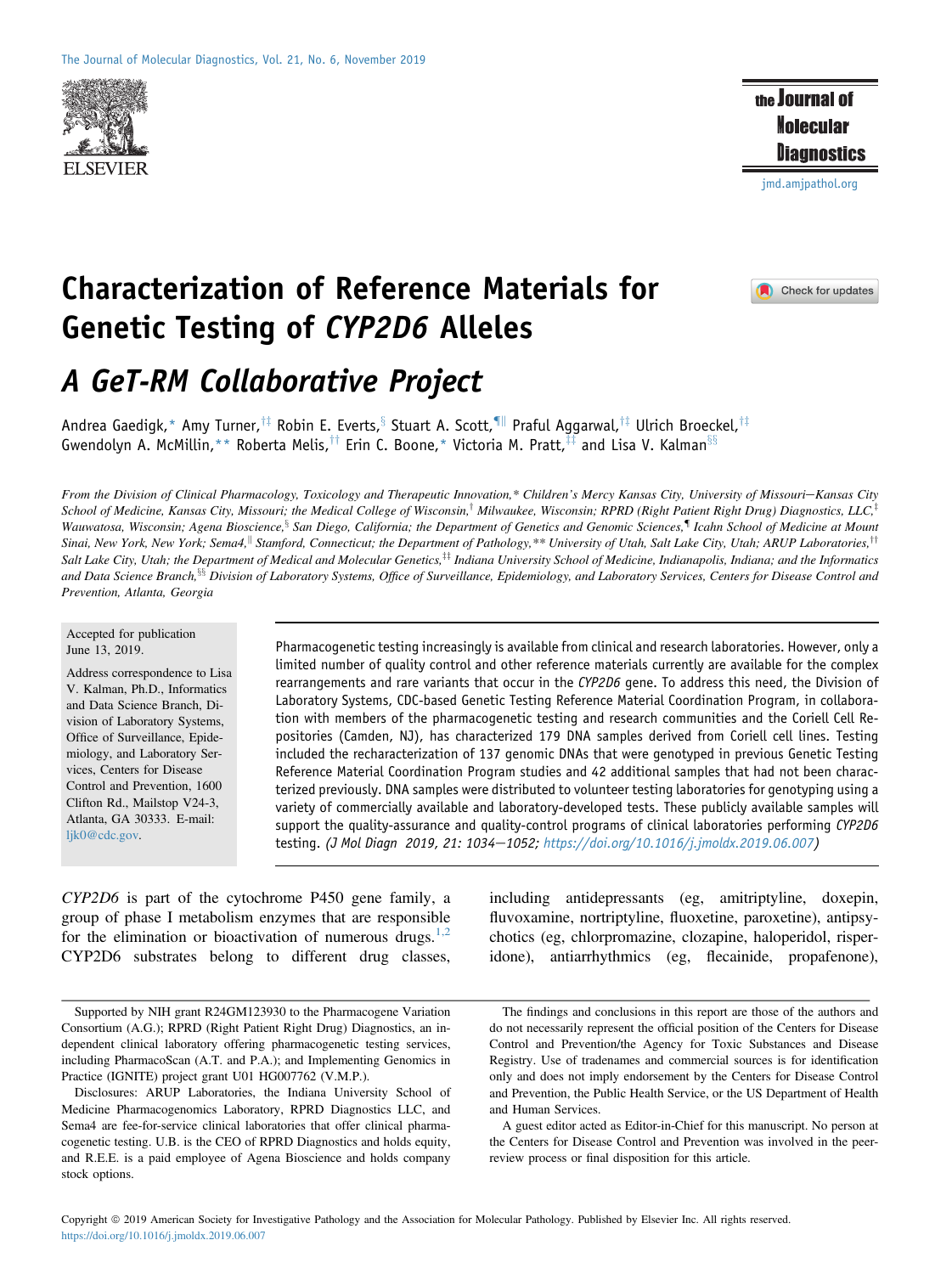

the Journal of **Molecular** Diagnostics

[jmd.amjpathol.org](http://jmd.amjpathol.org)

Check for updates

# Characterization of Reference Materials for Genetic Testing of CYP2D6 Alleles

A GeT-RM Collaborative Project

Andrea Gaedigk,\* Amy Turner,<sup>†‡</sup> Robin E. Everts,<sup>§</sup> Stuart A. Scott,<sup>¶||</sup> Praful Aggarwal,<sup>†‡</sup> Ulrich Broeckel,<sup>†‡</sup> Gwendolyn A. McMillin,\*\* Roberta Melis,<sup>††</sup> Erin C. Boone,\* Victoria M. Pratt,<sup>‡‡</sup> and Lisa V. Kalman<sup>§§</sup>

From the Division of Clinical Pharmacology, Toxicology and Therapeutic Innovation,\* Children's Mercy Kansas City, University of Missouri-Kansas City School of Medicine, Kansas City, Missouri; the Medical College of Wisconsin,<sup>†</sup> Milwaukee, Wisconsin; RPRD (Right Patient Right Drug) Diagnostics, LLC,<sup>‡</sup> Wauwatosa, Wisconsin; Agena Bioscience,<sup>§</sup> San Diego, California; the Department of Genetics and Genomic Sciences,<sup>¶</sup> Icahn School of Medicine at Mount Sinai, New York, New York; Sema4,<sup>||</sup> Stamford, Connecticut; the Department of Pathology,\*\* University of Utah, Salt Lake City, Utah; ARUP Laboratories,<sup>††</sup> Salt Lake City, Utah; the Department of Medical and Molecular Genetics, $\ddagger$  Indiana University School of Medicine, Indianapolis, Indiana; and the Informatics and Data Science Branch,<sup>§§</sup> Division of Laboratory Systems, Office of Surveillance, Epidemiology, and Laboratory Services, Centers for Disease Control and Prevention, Atlanta, Georgia

#### Accepted for publication June 13, 2019.

Address correspondence to Lisa V. Kalman, Ph.D., Informatics and Data Science Branch, Division of Laboratory Systems, Office of Surveillance, Epidemiology, and Laboratory Services, Centers for Disease Control and Prevention, 1600 Clifton Rd., Mailstop V24-3, Atlanta, GA 30333. E-mail: [ljk0@cdc.gov](mailto:ljk0@cdc.gov).

Pharmacogenetic testing increasingly is available from clinical and research laboratories. However, only a limited number of quality control and other reference materials currently are available for the complex rearrangements and rare variants that occur in the CYP2D6 gene. To address this need, the Division of Laboratory Systems, CDC-based Genetic Testing Reference Material Coordination Program, in collaboration with members of the pharmacogenetic testing and research communities and the Coriell Cell Repositories (Camden, NJ), has characterized 179 DNA samples derived from Coriell cell lines. Testing included the recharacterization of 137 genomic DNAs that were genotyped in previous Genetic Testing Reference Material Coordination Program studies and 42 additional samples that had not been characterized previously. DNA samples were distributed to volunteer testing laboratories for genotyping using a variety of commercially available and laboratory-developed tests. These publicly available samples will support the quality-assurance and quality-control programs of clinical laboratories performing CYP2D6 testing. (J Mol Diagn 2019, 21: 1034-1052; <https://doi.org/10.1016/j.jmoldx.2019.06.007>)

CYP2D6 is part of the cytochrome P450 gene family, a group of phase I metabolism enzymes that are responsible for the elimination or bioactivation of numerous drugs.<sup>[1,2](#page-17-0)</sup> CYP2D6 substrates belong to different drug classes,

Supported by NIH grant R24GM123930 to the Pharmacogene Variation Consortium (A.G.); RPRD (Right Patient Right Drug) Diagnostics, an independent clinical laboratory offering pharmacogenetic testing services, including PharmacoScan (A.T. and P.A.); and Implementing Genomics in Practice (IGNITE) project grant U01 HG007762 (V.M.P.).

Disclosures: ARUP Laboratories, the Indiana University School of Medicine Pharmacogenomics Laboratory, RPRD Diagnostics LLC, and Sema4 are fee-for-service clinical laboratories that offer clinical pharmacogenetic testing. U.B. is the CEO of RPRD Diagnostics and holds equity, and R.E.E. is a paid employee of Agena Bioscience and holds company stock options.

including antidepressants (eg, amitriptyline, doxepin, fluvoxamine, nortriptyline, fluoxetine, paroxetine), antipsychotics (eg, chlorpromazine, clozapine, haloperidol, risperidone), antiarrhythmics (eg, flecainide, propafenone),

The findings and conclusions in this report are those of the authors and do not necessarily represent the official position of the Centers for Disease Control and Prevention/the Agency for Toxic Substances and Disease Registry. Use of tradenames and commercial sources is for identification only and does not imply endorsement by the Centers for Disease Control and Prevention, the Public Health Service, or the US Department of Health and Human Services.

A guest editor acted as Editor-in-Chief for this manuscript. No person at the Centers for Disease Control and Prevention was involved in the peerreview process or final disposition for this article.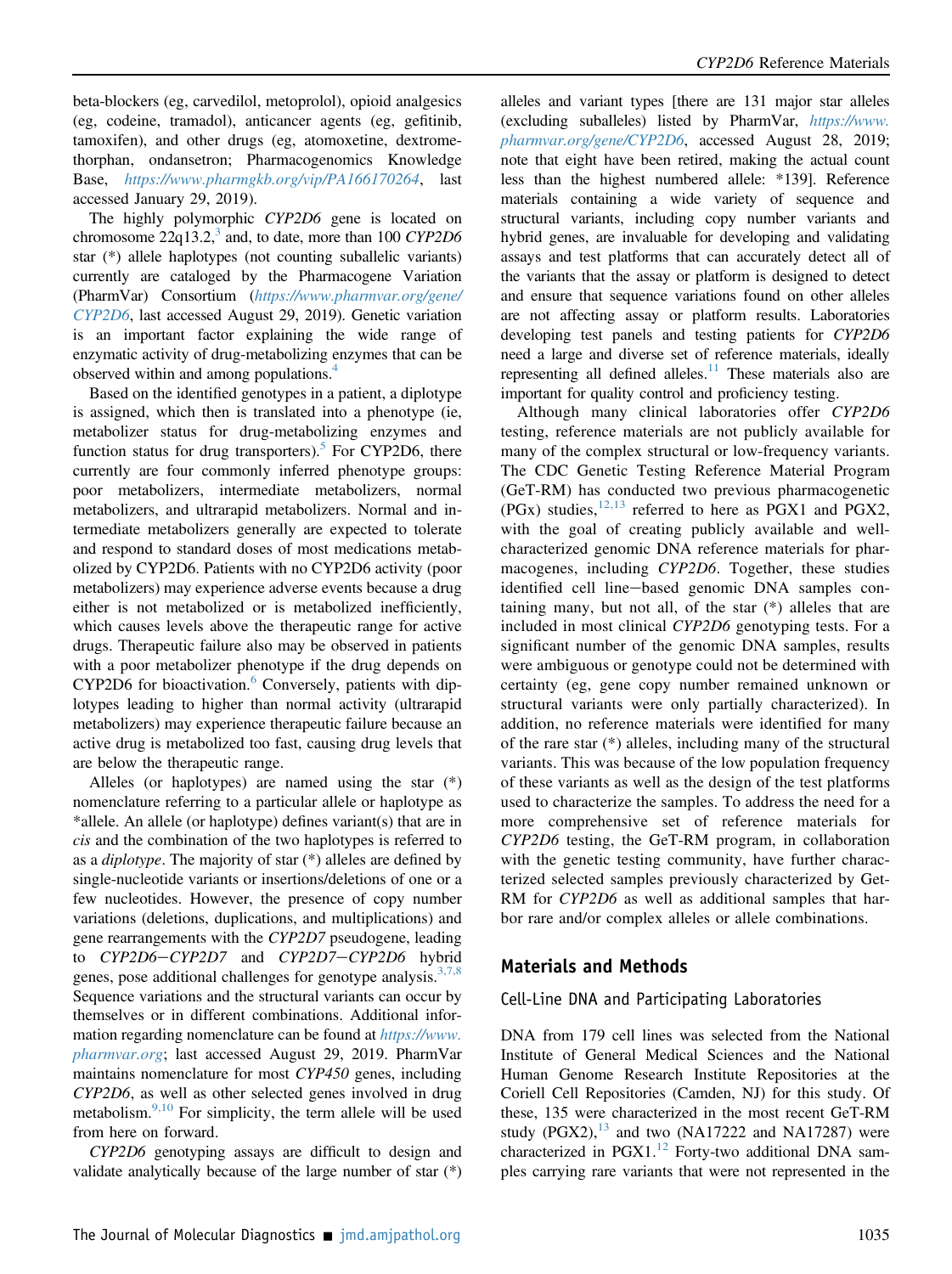beta-blockers (eg, carvedilol, metoprolol), opioid analgesics (eg, codeine, tramadol), anticancer agents (eg, gefitinib, tamoxifen), and other drugs (eg, atomoxetine, dextromethorphan, ondansetron; Pharmacogenomics Knowledge Base, <https://www.pharmgkb.org/vip/PA166170264>, last accessed January 29, 2019).

The highly polymorphic CYP2D6 gene is located on chromosome  $22q13.2$ ,<sup>3</sup> and, to date, more than 100 CYP2D6 star (\*) allele haplotypes (not counting suballelic variants) currently are cataloged by the Pharmacogene Variation (PharmVar) Consortium ([https://www.pharmvar.org/gene/](https://www.pharmvar.org/gene/CYP2D6) [CYP2D6](https://www.pharmvar.org/gene/CYP2D6), last accessed August 29, 2019). Genetic variation is an important factor explaining the wide range of enzymatic activity of drug-metabolizing enzymes that can be observed within and among populations.<sup>4</sup>

Based on the identified genotypes in a patient, a diplotype is assigned, which then is translated into a phenotype (ie, metabolizer status for drug-metabolizing enzymes and function status for drug transporters).<sup>[5](#page-17-3)</sup> For CYP2D6, there currently are four commonly inferred phenotype groups: poor metabolizers, intermediate metabolizers, normal metabolizers, and ultrarapid metabolizers. Normal and intermediate metabolizers generally are expected to tolerate and respond to standard doses of most medications metabolized by CYP2D6. Patients with no CYP2D6 activity (poor metabolizers) may experience adverse events because a drug either is not metabolized or is metabolized inefficiently, which causes levels above the therapeutic range for active drugs. Therapeutic failure also may be observed in patients with a poor metabolizer phenotype if the drug depends on  $CYP2D6$  $CYP2D6$  for bioactivation. $6$  Conversely, patients with diplotypes leading to higher than normal activity (ultrarapid metabolizers) may experience therapeutic failure because an active drug is metabolized too fast, causing drug levels that are below the therapeutic range.

Alleles (or haplotypes) are named using the star (\*) nomenclature referring to a particular allele or haplotype as \*allele. An allele (or haplotype) defines variant(s) that are in cis and the combination of the two haplotypes is referred to as a *diplotype*. The majority of star  $(*)$  alleles are defined by single-nucleotide variants or insertions/deletions of one or a few nucleotides. However, the presence of copy number variations (deletions, duplications, and multiplications) and gene rearrangements with the CYP2D7 pseudogene, leading to CYP2D6-CYP2D7 and CYP2D7-CYP2D6 hybrid genes, pose additional challenges for genotype analysis.<sup>[3,7,8](#page-17-1)</sup> Sequence variations and the structural variants can occur by themselves or in different combinations. Additional information regarding nomenclature can be found at [https://www.](https://www.pharmvar.org) [pharmvar.org](https://www.pharmvar.org); last accessed August 29, 2019. PharmVar maintains nomenclature for most CYP450 genes, including CYP2D6, as well as other selected genes involved in drug metabolism. $^{9,10}$  $^{9,10}$  $^{9,10}$  For simplicity, the term allele will be used from here on forward.

CYP2D6 genotyping assays are difficult to design and validate analytically because of the large number of star (\*)

alleles and variant types [there are 131 major star alleles (excluding suballeles) listed by PharmVar, [https://www.](https://www.pharmvar.org/gene/CYP2D6) [pharmvar.org/gene/CYP2D6](https://www.pharmvar.org/gene/CYP2D6), accessed August 28, 2019; note that eight have been retired, making the actual count less than the highest numbered allele: \*139]. Reference materials containing a wide variety of sequence and structural variants, including copy number variants and hybrid genes, are invaluable for developing and validating assays and test platforms that can accurately detect all of the variants that the assay or platform is designed to detect and ensure that sequence variations found on other alleles are not affecting assay or platform results. Laboratories developing test panels and testing patients for CYP2D6 need a large and diverse set of reference materials, ideally representing all defined alleles.<sup>[11](#page-17-6)</sup> These materials also are important for quality control and proficiency testing.

Although many clinical laboratories offer CYP2D6 testing, reference materials are not publicly available for many of the complex structural or low-frequency variants. The CDC Genetic Testing Reference Material Program (GeT-RM) has conducted two previous pharmacogenetic (PGx) studies,  $^{12,13}$  $^{12,13}$  $^{12,13}$  referred to here as PGX1 and PGX2, with the goal of creating publicly available and wellcharacterized genomic DNA reference materials for pharmacogenes, including CYP2D6. Together, these studies identified cell line-based genomic DNA samples containing many, but not all, of the star (\*) alleles that are included in most clinical CYP2D6 genotyping tests. For a significant number of the genomic DNA samples, results were ambiguous or genotype could not be determined with certainty (eg, gene copy number remained unknown or structural variants were only partially characterized). In addition, no reference materials were identified for many of the rare star (\*) alleles, including many of the structural variants. This was because of the low population frequency of these variants as well as the design of the test platforms used to characterize the samples. To address the need for a more comprehensive set of reference materials for CYP2D6 testing, the GeT-RM program, in collaboration with the genetic testing community, have further characterized selected samples previously characterized by Get-RM for CYP2D6 as well as additional samples that harbor rare and/or complex alleles or allele combinations.

### Materials and Methods

### Cell-Line DNA and Participating Laboratories

DNA from 179 cell lines was selected from the National Institute of General Medical Sciences and the National Human Genome Research Institute Repositories at the Coriell Cell Repositories (Camden, NJ) for this study. Of these, 135 were characterized in the most recent GeT-RM study (PGX2), $^{13}$  $^{13}$  $^{13}$  and two (NA17222 and NA17287) were characterized in PGX1. $^{12}$  $^{12}$  $^{12}$  Forty-two additional DNA samples carrying rare variants that were not represented in the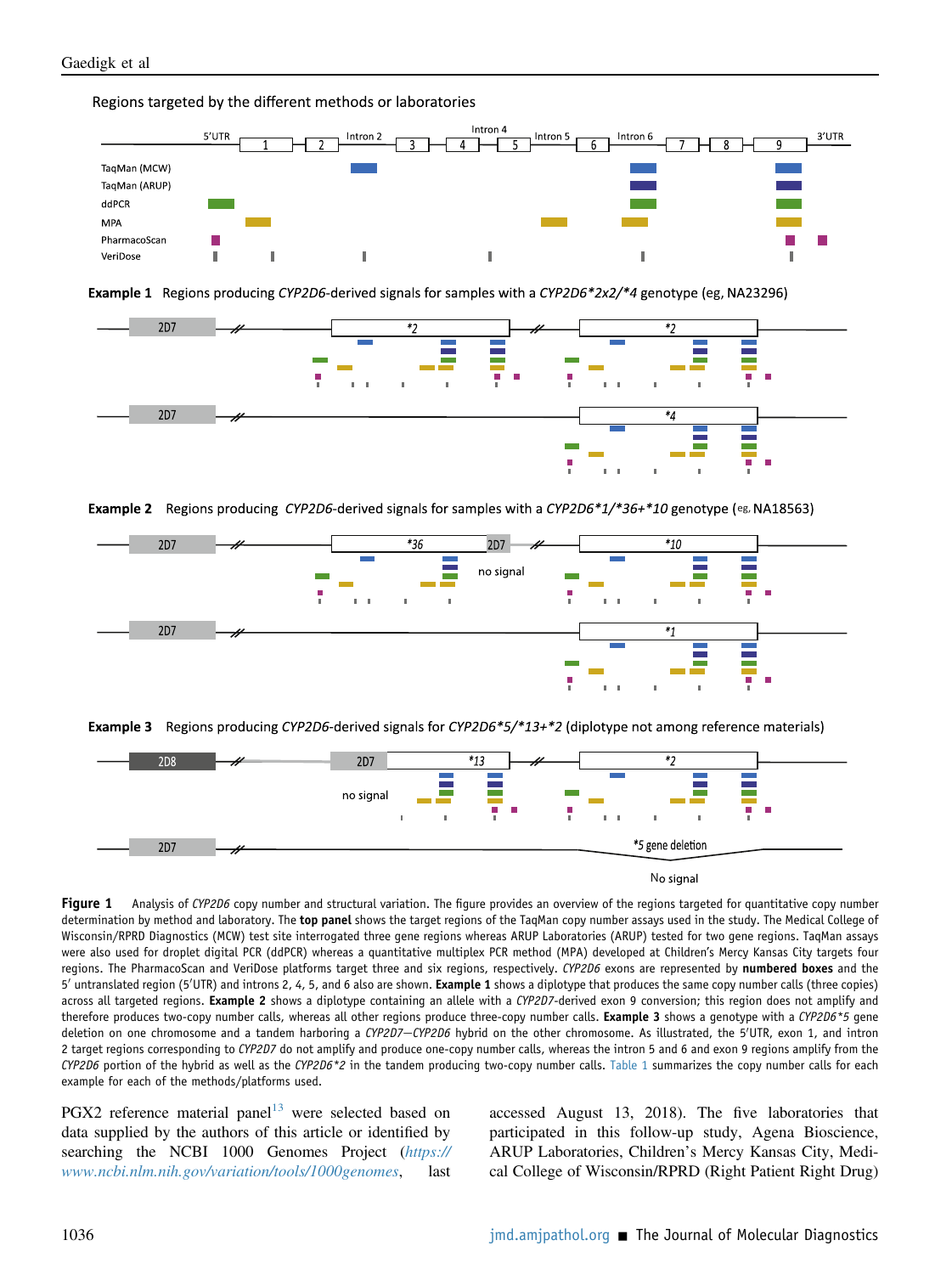<span id="page-2-0"></span>Regions targeted by the different methods or laboratories



Example 1 Regions producing CYP2D6-derived signals for samples with a CYP2D6\*2x2/\*4 genotype (eg, NA23296)



Example 2 Regions producing CYP2D6-derived signals for samples with a CYP2D6\*1/\*36+\*10 genotype (eg. NA18563)







No signal

Figure 1 Analysis of CYP2D6 copy number and structural variation. The figure provides an overview of the regions targeted for quantitative copy number determination by method and laboratory. The top panel shows the target regions of the TaqMan copy number assays used in the study. The Medical College of Wisconsin/RPRD Diagnostics (MCW) test site interrogated three gene regions whereas ARUP Laboratories (ARUP) tested for two gene regions. TaqMan assays were also used for droplet digital PCR (ddPCR) whereas a quantitative multiplex PCR method (MPA) developed at Children's Mercy Kansas City targets four regions. The PharmacoScan and VeriDose platforms target three and six regions, respectively. CYP2D6 exons are represented by numbered boxes and the 5' untranslated region (5'UTR) and introns 2, 4, 5, and 6 also are shown. Example 1 shows a diplotype that produces the same copy number calls (three copies) across all targeted regions. Example 2 shows a diplotype containing an allele with a CYP2D7-derived exon 9 conversion; this region does not amplify and therefore produces two-copy number calls, whereas all other regions produce three-copy number calls. Example 3 shows a genotype with a CYP2D6\*5 gene deletion on one chromosome and a tandem harboring a CYP2D7–CYP2D6 hybrid on the other chromosome. As illustrated, the 5'UTR, exon 1, and intron 2 target regions corresponding to CYP2D7 do not amplify and produce one-copy number calls, whereas the intron 5 and 6 and exon 9 regions amplify from the  $CYP2D6$  portion of the hybrid as well as the  $CYP2D6*2$  in the tandem producing two-copy number calls. [Table 1](#page-3-0) summarizes the copy number calls for each example for each of the methods/platforms used.

 $PGX2$  reference material panel<sup>[13](#page-17-8)</sup> were selected based on data supplied by the authors of this article or identified by searching the NCBI 1000 Genomes Project ([https://](https://www.ncbi.nlm.nih.gov/variation/tools/1000genomes) [www.ncbi.nlm.nih.gov/variation/tools/1000genomes](https://www.ncbi.nlm.nih.gov/variation/tools/1000genomes), last accessed August 13, 2018). The five laboratories that participated in this follow-up study, Agena Bioscience, ARUP Laboratories, Children's Mercy Kansas City, Medical College of Wisconsin/RPRD (Right Patient Right Drug)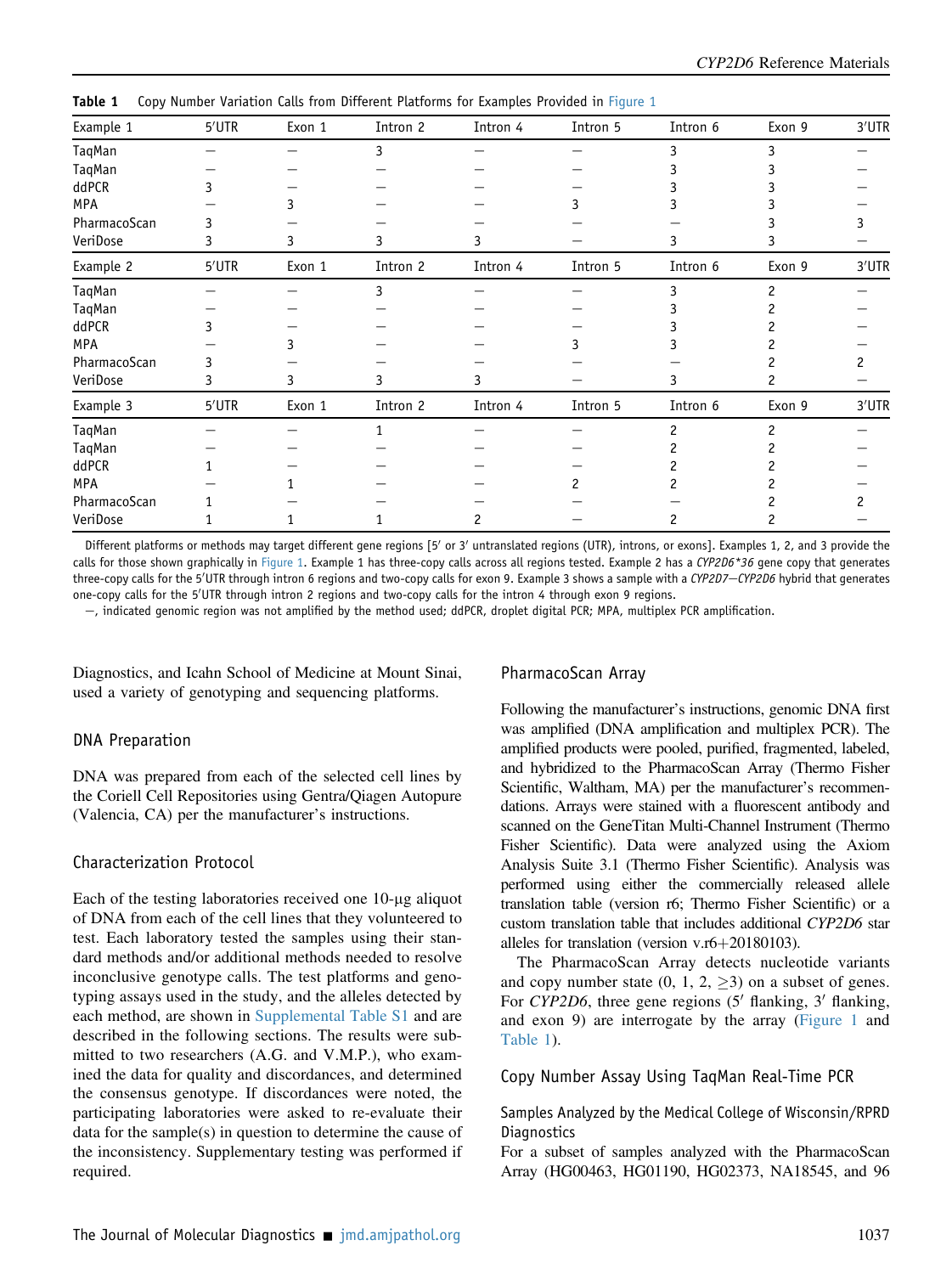| Example 1    | 5'UTR | Exon 1 | Intron 2 | Intron 4 | Intron 5 | Intron 6       | Exon 9         | 3'UTR |
|--------------|-------|--------|----------|----------|----------|----------------|----------------|-------|
| TaqMan       |       |        | 3        |          |          | 3              | 3              |       |
| TaqMan       |       |        |          |          |          |                |                |       |
| ddPCR        |       |        |          |          |          |                |                |       |
| MPA          |       | 3      |          |          | 3        |                |                |       |
| PharmacoScan | 3     |        |          |          |          |                |                |       |
| VeriDose     | 3     | 3      | 3        | 3        |          | 3              |                |       |
| Example 2    | 5'UTR | Exon 1 | Intron 2 | Intron 4 | Intron 5 | Intron 6       | Exon 9         | 3'UTR |
| TaqMan       |       |        | 3        |          |          |                |                |       |
| TaqMan       |       |        |          |          |          |                |                |       |
| ddPCR        |       |        |          |          |          |                |                |       |
| MPA          |       | 3      |          |          | 3        |                |                |       |
| PharmacoScan | 3     |        |          |          |          |                |                |       |
| VeriDose     | 3     | 3      | 3        | 3        |          | 3              |                |       |
| Example 3    | 5'UTR | Exon 1 | Intron 2 | Intron 4 | Intron 5 | Intron 6       | Exon 9         | 3'UTR |
| TaqMan       |       |        |          |          |          | $\overline{c}$ | $\mathfrak{p}$ |       |
| TaqMan       |       |        |          |          |          |                |                |       |
| ddPCR        |       |        |          |          |          |                |                |       |
| MPA          |       |        |          |          |          | 2              |                |       |
| PharmacoScan |       |        |          |          |          |                |                |       |
| VeriDose     |       |        |          | 2        |          | 2              |                |       |

<span id="page-3-0"></span>Table 1 Copy Number Variation Calls from Different Platforms for Examples Provided in [Figure 1](#page-2-0)

Different platforms or methods may target different gene regions [5' or 3' untranslated regions (UTR), introns, or exons]. Examples 1, 2, and 3 provide the calls for those shown graphically in [Figure 1.](#page-2-0) Example 1 has three-copy calls across all regions tested. Example 2 has a CYP2D6\*36 gene copy that generates three-copy calls for the 5′UTR through intron 6 regions and two-copy calls for exon 9. Example 3 shows a sample with a CYP2D7—CYP2D6 hybrid that generates one-copy calls for the 5'UTR through intron 2 regions and two-copy calls for the intron 4 through exon 9 regions.

e, indicated genomic region was not amplified by the method used; ddPCR, droplet digital PCR; MPA, multiplex PCR amplification.

Diagnostics, and Icahn School of Medicine at Mount Sinai, used a variety of genotyping and sequencing platforms.

#### DNA Preparation

DNA was prepared from each of the selected cell lines by the Coriell Cell Repositories using Gentra/Qiagen Autopure (Valencia, CA) per the manufacturer's instructions.

### Characterization Protocol

Each of the testing laboratories received one  $10$ - $\mu$ g aliquot of DNA from each of the cell lines that they volunteered to test. Each laboratory tested the samples using their standard methods and/or additional methods needed to resolve inconclusive genotype calls. The test platforms and genotyping assays used in the study, and the alleles detected by each method, are shown in [Supplemental Table S1](#page-17-9) and are described in the following sections. The results were submitted to two researchers (A.G. and V.M.P.), who examined the data for quality and discordances, and determined the consensus genotype. If discordances were noted, the participating laboratories were asked to re-evaluate their data for the sample(s) in question to determine the cause of the inconsistency. Supplementary testing was performed if required.

#### PharmacoScan Array

Following the manufacturer's instructions, genomic DNA first was amplified (DNA amplification and multiplex PCR). The amplified products were pooled, purified, fragmented, labeled, and hybridized to the PharmacoScan Array (Thermo Fisher Scientific, Waltham, MA) per the manufacturer's recommendations. Arrays were stained with a fluorescent antibody and scanned on the GeneTitan Multi-Channel Instrument (Thermo Fisher Scientific). Data were analyzed using the Axiom Analysis Suite 3.1 (Thermo Fisher Scientific). Analysis was performed using either the commercially released allele translation table (version r6; Thermo Fisher Scientific) or a custom translation table that includes additional CYP2D6 star alleles for translation (version  $v.r6+20180103$ ).

The PharmacoScan Array detects nucleotide variants and copy number state  $(0, 1, 2, \geq 3)$  on a subset of genes. For CYP2D6, three gene regions  $(5'$  flanking,  $3'$  flanking, and exon 9) are interrogate by the array [\(Figure 1](#page-2-0) and [Table 1](#page-3-0)).

Copy Number Assay Using TaqMan Real-Time PCR

Samples Analyzed by the Medical College of Wisconsin/RPRD **Diagnostics** 

For a subset of samples analyzed with the PharmacoScan Array (HG00463, HG01190, HG02373, NA18545, and 96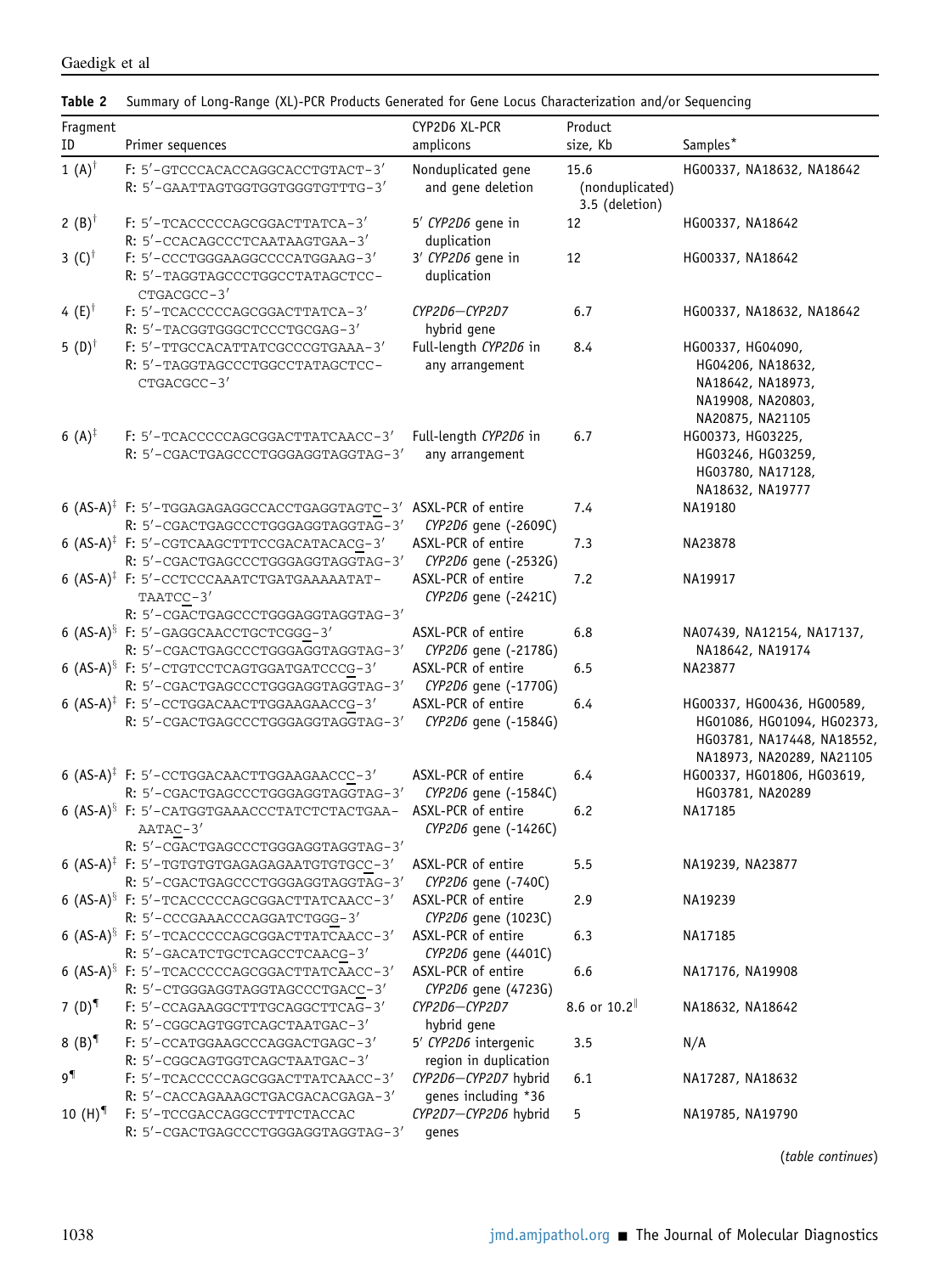<span id="page-4-0"></span>

| Table 2 Summary of Long-Range (XL)-PCR Products Generated for Gene Locus Characterization and/or Sequencing |  |  |
|-------------------------------------------------------------------------------------------------------------|--|--|
|                                                                                                             |  |  |

| Fragment                              |                                                                                                             | CYP2D6 XL-PCR                                 | Product                           |                                                                                                                     |
|---------------------------------------|-------------------------------------------------------------------------------------------------------------|-----------------------------------------------|-----------------------------------|---------------------------------------------------------------------------------------------------------------------|
| ID                                    | Primer sequences                                                                                            | amplicons                                     | size, Kb                          | Samples*                                                                                                            |
| 1 $(A)^\dagger$                       | F: 5'-GTCCCACACCAGGCACCTGTACT-3'                                                                            | Nonduplicated gene                            | 15.6                              | HG00337, NA18632, NA18642                                                                                           |
|                                       | R: 5'-GAATTAGTGGTGGTGGTGTTTTG-3'                                                                            | and gene deletion                             | (nonduplicated)<br>3.5 (deletion) |                                                                                                                     |
| 2 (B) <sup><math>\dagger</math></sup> | F: 5'-TCACCCCCAGCGGACTTATCA-3'<br>R: 5'-CCACAGCCCTCAATAAGTGAA-3'                                            | 5' CYP2D6 gene in<br>duplication              | 12                                | HG00337, NA18642                                                                                                    |
| 3 $(C)^{\dagger}$                     | F: 5'-CCCTGGGAAGGCCCCATGGAAG-3'<br>R: 5'-TAGGTAGCCCTGGCCTATAGCTCC-<br>CTGACGCC-3'                           | 3' CYP2D6 gene in<br>duplication              | 12                                | HG00337, NA18642                                                                                                    |
| 4 (E) <sup><math>\dagger</math></sup> | F: 5'-TCACCCCCAGCGGACTTATCA-3'<br>R: 5'-TACGGTGGGCTCCCTGCGAG-3'                                             | CYP2D6-CYP2D7<br>hybrid gene                  | 6.7                               | HG00337, NA18632, NA18642                                                                                           |
| 5 $(D)^\dagger$                       | F: 5'-TTGCCACATTATCGCCCGTGAAA-3'<br>R: 5'-TAGGTAGCCCTGGCCTATAGCTCC-<br>CTGACGCC-3'                          | Full-length CYP2D6 in<br>any arrangement      | 8.4                               | HG00337, HG04090,<br>HG04206, NA18632,<br>NA18642, NA18973,<br>NA19908, NA20803,<br>NA20875, NA21105                |
| 6 $(A)^{\ddagger}$                    | F: 5'-TCACCCCCAGCGGACTTATCAACC-3'<br>R: 5'-CGACTGAGCCCTGGGAGGTAGGTAG-3'                                     | Full-length CYP2D6 in<br>any arrangement      | 6.7                               | HG00373, HG03225,<br>HG03246, HG03259,<br>HG03780, NA17128,<br>NA18632, NA19777                                     |
|                                       | 6 $(AS-A)^{\ddagger}$ F: 5'-TGGAGAGAGGCCACCTGAGGTAGTC-3'<br>R: 5'-CGACTGAGCCCTGGGAGGTAGGTAG-3'              | ASXL-PCR of entire<br>CYP2D6 gene (-2609C)    | 7.4                               | NA19180                                                                                                             |
|                                       | 6 (AS-A) <sup>‡</sup> F: 5'-CGTCAAGCTTTCCGACATACACG-3'<br>R: 5'-CGACTGAGCCCTGGGAGGTAGGTAG-3'                | ASXL-PCR of entire<br>CYP2D6 gene (-2532G)    | 7.3                               | NA23878                                                                                                             |
|                                       | 6 (AS-A) <sup>‡</sup> F: 5'-CCTCCCAAATCTGATGAAAAATAT-<br>TAATCC-3'<br>R: 5'-CGACTGAGCCCTGGGAGGTAGGTAG-3'    | ASXL-PCR of entire<br>CYP2D6 gene (-2421C)    | 7.2                               | NA19917                                                                                                             |
|                                       | 6 (AS-A) <sup>§</sup> F: 5'-GAGGCAACCTGCTCGGG-3'<br>R: 5'-CGACTGAGCCCTGGGAGGTAGGTAG-3'                      | ASXL-PCR of entire<br>CYP2D6 gene (-2178G)    | 6.8                               | NA07439, NA12154, NA17137,<br>NA18642, NA19174                                                                      |
|                                       | 6 (AS-A) <sup>§</sup> F: 5'-CTGTCCTCAGTGGATGATCCCG-3'<br>R: 5'-CGACTGAGCCCTGGGAGGTAGGTAG-3'                 | ASXL-PCR of entire<br>CYP2D6 gene (-1770G)    | 6.5                               | NA23877                                                                                                             |
|                                       | 6 $(AS-A)^{\ddagger}$ F: 5'-CCTGGACAACTTGGAAGAACCG-3'<br>R: 5'-CGACTGAGCCCTGGGAGGTAGGTAG-3'                 | ASXL-PCR of entire<br>CYP2D6 gene (-1584G)    | 6.4                               | HG00337, HG00436, HG00589,<br>HG01086, HG01094, HG02373,<br>HG03781, NA17448, NA18552,<br>NA18973, NA20289, NA21105 |
|                                       | 6 $(AS-A)^{\ddagger}$ F: 5'-CCTGGACAACTTGGAAGAACCC-3'<br>R: 5'-CGACTGAGCCCTGGGAGGTAGGTAG-3'                 | ASXL-PCR of entire<br>CYP2D6 gene (-1584C)    | 6.4                               | HG00337, HG01806, HG03619,<br>HG03781, NA20289                                                                      |
|                                       | 6 (AS-A) <sup>§</sup> F: 5'-CATGGTGAAACCCTATCTCTACTGAA-<br>$AATAC-3'$<br>R: 5'-CGACTGAGCCCTGGGAGGTAGGTAG-3' | ASXL-PCR of entire<br>CYP2D6 gene (-1426C)    | 6.2                               | NA17185                                                                                                             |
|                                       | 6 $(AS-A)^{\ddagger}$ F: 5'-TGTGTGTGAGAGAGAATGTGTGCC-3'<br>R: 5'-CGACTGAGCCCTGGGAGGTAGGTAG-3'               | ASXL-PCR of entire<br>CYP2D6 gene (-740C)     | 5.5                               | NA19239, NA23877                                                                                                    |
|                                       | 6 (AS-A) <sup>§</sup> F: 5'-TCACCCCCAGCGGACTTATCAACC-3'<br>R: 5'-CCCGAAACCCAGGATCTGGG-3'                    | ASXL-PCR of entire<br>CYP2D6 gene (1023C)     | 2.9                               | NA19239                                                                                                             |
|                                       | 6 (AS-A) <sup>§</sup> F: 5'-TCACCCCCAGCGGACTTATCAACC-3'<br>R: 5'-GACATCTGCTCAGCCTCAACG-3'                   | ASXL-PCR of entire<br>CYP2D6 gene (4401C)     | 6.3                               | NA17185                                                                                                             |
|                                       | 6 (AS-A) <sup>§</sup> F: 5'-TCACCCCCAGCGGACTTATCAACC-3'<br>R: 5'-CTGGGAGGTAGGTAGCCCTGACC-3'                 | ASXL-PCR of entire<br>CYP2D6 gene (4723G)     | 6.6                               | NA17176, NA19908                                                                                                    |
| 7 $(D)^{T}$                           | F: 5'-CCAGAAGGCTTTGCAGGCTTCAG-3'<br>R: 5'-CGGCAGTGGTCAGCTAATGAC-3'                                          | CYP2D6-CYP2D7<br>hybrid gene                  | 8.6 or 10.2                       | NA18632, NA18642                                                                                                    |
| $8 (B)^{1}$                           | F: 5'-CCATGGAAGCCCAGGACTGAGC-3'<br>R: 5'-CGGCAGTGGTCAGCTAATGAC-3'                                           | 5' CYP2D6 intergenic<br>region in duplication | 3.5                               | N/A                                                                                                                 |
| 9¶                                    | F: 5'-TCACCCCCAGCGGACTTATCAACC-3'<br>R: 5'-CACCAGAAAGCTGACGACACGAGA-3'                                      | CYP2D6-CYP2D7 hybrid<br>genes including *36   | 6.1                               | NA17287, NA18632                                                                                                    |
| 10 $(H)^{\P}$                         | F: 5'-TCCGACCAGGCCTTTCTACCAC<br>R: 5'-CGACTGAGCCCTGGGAGGTAGGTAG-3'                                          | CYP2D7-CYP2D6 hybrid<br>genes                 | 5                                 | NA19785, NA19790                                                                                                    |

(table continues)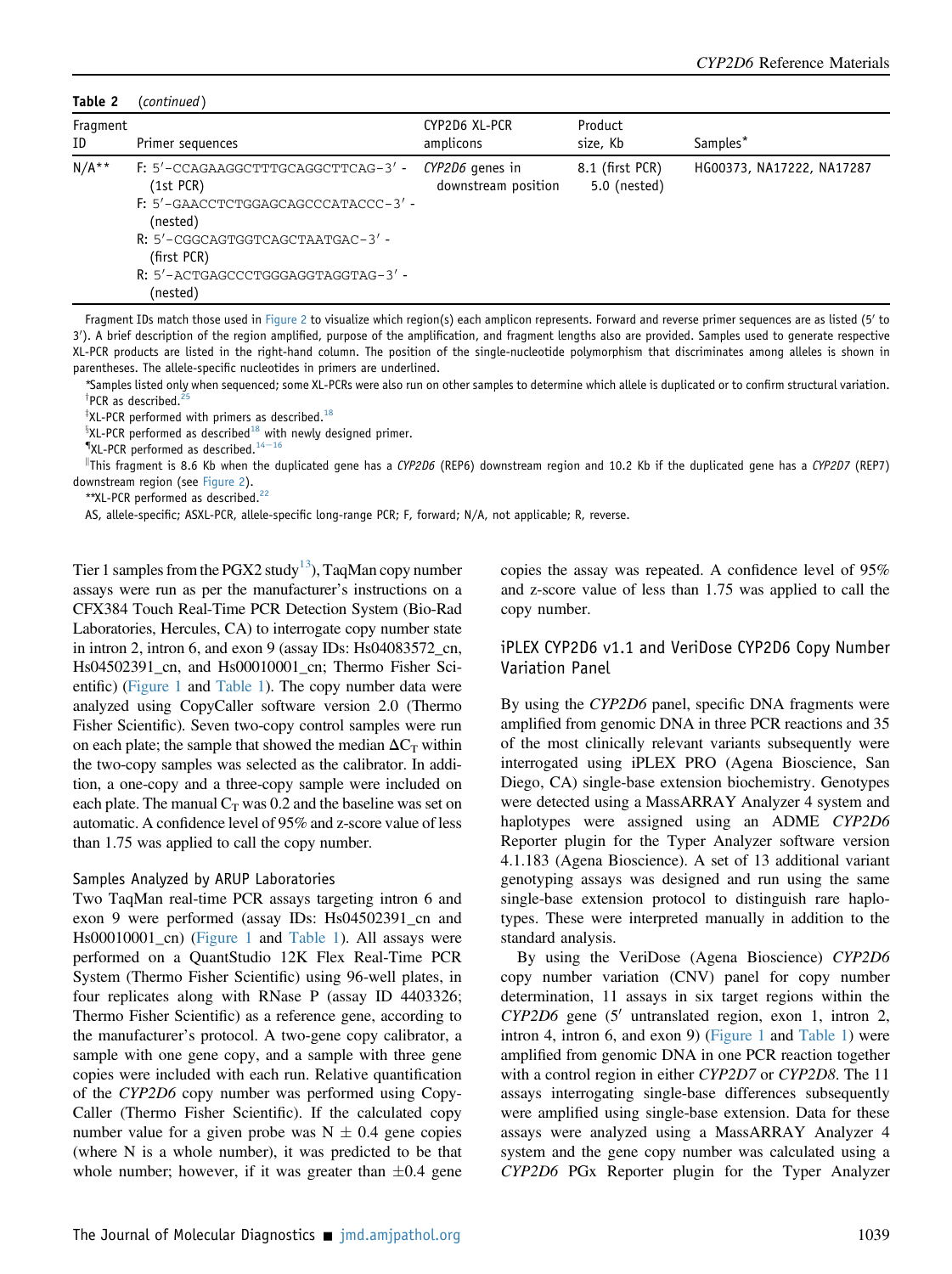Table 2 (continued)

| Fragment<br>ID | Primer sequences                                                                                                                                                                                          | CYP2D6 XL-PCR<br>amplicons             | Product<br>size, Kb             | Samples*                  |
|----------------|-----------------------------------------------------------------------------------------------------------------------------------------------------------------------------------------------------------|----------------------------------------|---------------------------------|---------------------------|
| $N/A**$        | F: 5'-CCAGAAGGCTTTGCAGGCTTCAG-3'-<br>$(1st$ PCR $)$<br>F: 5'-GAACCTCTGGAGCAGCCCATACCC-3'-<br>(nested)<br>R: 5'-CGGCAGTGGTCAGCTAATGAC-3'-<br>(first PCR)<br>R: 5'-ACTGAGCCCTGGGAGGTAGGTAG-3' -<br>(nested) | CYP2D6 genes in<br>downstream position | 8.1 (first PCR)<br>5.0 (nested) | HG00373, NA17222, NA17287 |

Fragment IDs match those used in [Figure 2](#page-12-0) to visualize which region(s) each amplicon represents. Forward and reverse primer sequences are as listed (5' to 3'). A brief description of the region amplified, purpose of the amplification, and fragment lengths also are provided. Samples used to generate respective XL-PCR products are listed in the right-hand column. The position of the single-nucleotide polymorphism that discriminates among alleles is shown in parentheses. The allele-specific nucleotides in primers are underlined.

\*Samples listed only when sequenced; some XL-PCRs were also run on other samples to determine which allele is duplicated or to confirm structural variation. <sup>†</sup>PCR as described.<sup>25</sup>

 $*$ XL-PCR performed with primers as described.<sup>[18](#page-18-1)</sup>

 ${}^{8}$ XL-PCR performed as described $1^8$  with newly designed primer.<br>"XL-PCR performed as described. $1^{4-16}$  $1^{4-16}$  $1^{4-16}$ 

 $^\parallel$ This fragment is 8.6 Kb when the duplicated gene has a *CYP2D6* (REP6) downstream region and 10.2 Kb if the duplicated gene has a *CYP2D7* (REP7) downstream region (see [Figure 2\)](#page-12-0).

\*\*XL-PCR performed as described.<sup>[22](#page-18-2)</sup>

AS, allele-specific; ASXL-PCR, allele-specific long-range PCR; F, forward; N/A, not applicable; R, reverse.

Tier 1 samples from the PGX2 study<sup>[13](#page-17-8)</sup>), TaqMan copy number assays were run as per the manufacturer's instructions on a CFX384 Touch Real-Time PCR Detection System (Bio-Rad Laboratories, Hercules, CA) to interrogate copy number state in intron 2, intron 6, and exon 9 (assay IDs: Hs04083572\_cn, Hs04502391\_cn, and Hs00010001\_cn; Thermo Fisher Scientific) ([Figure 1](#page-2-0) and [Table 1\)](#page-3-0). The copy number data were analyzed using CopyCaller software version 2.0 (Thermo Fisher Scientific). Seven two-copy control samples were run on each plate; the sample that showed the median  $\Delta C_T$  within the two-copy samples was selected as the calibrator. In addition, a one-copy and a three-copy sample were included on each plate. The manual  $C_T$  was 0.2 and the baseline was set on automatic. A confidence level of 95% and z-score value of less than 1.75 was applied to call the copy number.

#### Samples Analyzed by ARUP Laboratories

Two TaqMan real-time PCR assays targeting intron 6 and exon 9 were performed (assay IDs: Hs04502391\_cn and Hs00010001\_cn) ([Figure 1](#page-2-0) and [Table 1](#page-3-0)). All assays were performed on a QuantStudio 12K Flex Real-Time PCR System (Thermo Fisher Scientific) using 96-well plates, in four replicates along with RNase P (assay ID 4403326; Thermo Fisher Scientific) as a reference gene, according to the manufacturer's protocol. A two-gene copy calibrator, a sample with one gene copy, and a sample with three gene copies were included with each run. Relative quantification of the CYP2D6 copy number was performed using Copy-Caller (Thermo Fisher Scientific). If the calculated copy number value for a given probe was  $N \pm 0.4$  gene copies (where N is a whole number), it was predicted to be that whole number; however, if it was greater than  $\pm 0.4$  gene copies the assay was repeated. A confidence level of 95% and z-score value of less than 1.75 was applied to call the copy number.

### iPLEX CYP2D6 v1.1 and VeriDose CYP2D6 Copy Number Variation Panel

By using the CYP2D6 panel, specific DNA fragments were amplified from genomic DNA in three PCR reactions and 35 of the most clinically relevant variants subsequently were interrogated using iPLEX PRO (Agena Bioscience, San Diego, CA) single-base extension biochemistry. Genotypes were detected using a MassARRAY Analyzer 4 system and haplotypes were assigned using an ADME CYP2D6 Reporter plugin for the Typer Analyzer software version 4.1.183 (Agena Bioscience). A set of 13 additional variant genotyping assays was designed and run using the same single-base extension protocol to distinguish rare haplotypes. These were interpreted manually in addition to the standard analysis.

By using the VeriDose (Agena Bioscience) CYP2D6 copy number variation (CNV) panel for copy number determination, 11 assays in six target regions within the  $CYP2D6$  gene (5' untranslated region, exon 1, intron 2, intron 4, intron 6, and exon 9) ([Figure 1](#page-2-0) and [Table 1\)](#page-3-0) were amplified from genomic DNA in one PCR reaction together with a control region in either CYP2D7 or CYP2D8. The 11 assays interrogating single-base differences subsequently were amplified using single-base extension. Data for these assays were analyzed using a MassARRAY Analyzer 4 system and the gene copy number was calculated using a CYP2D6 PGx Reporter plugin for the Typer Analyzer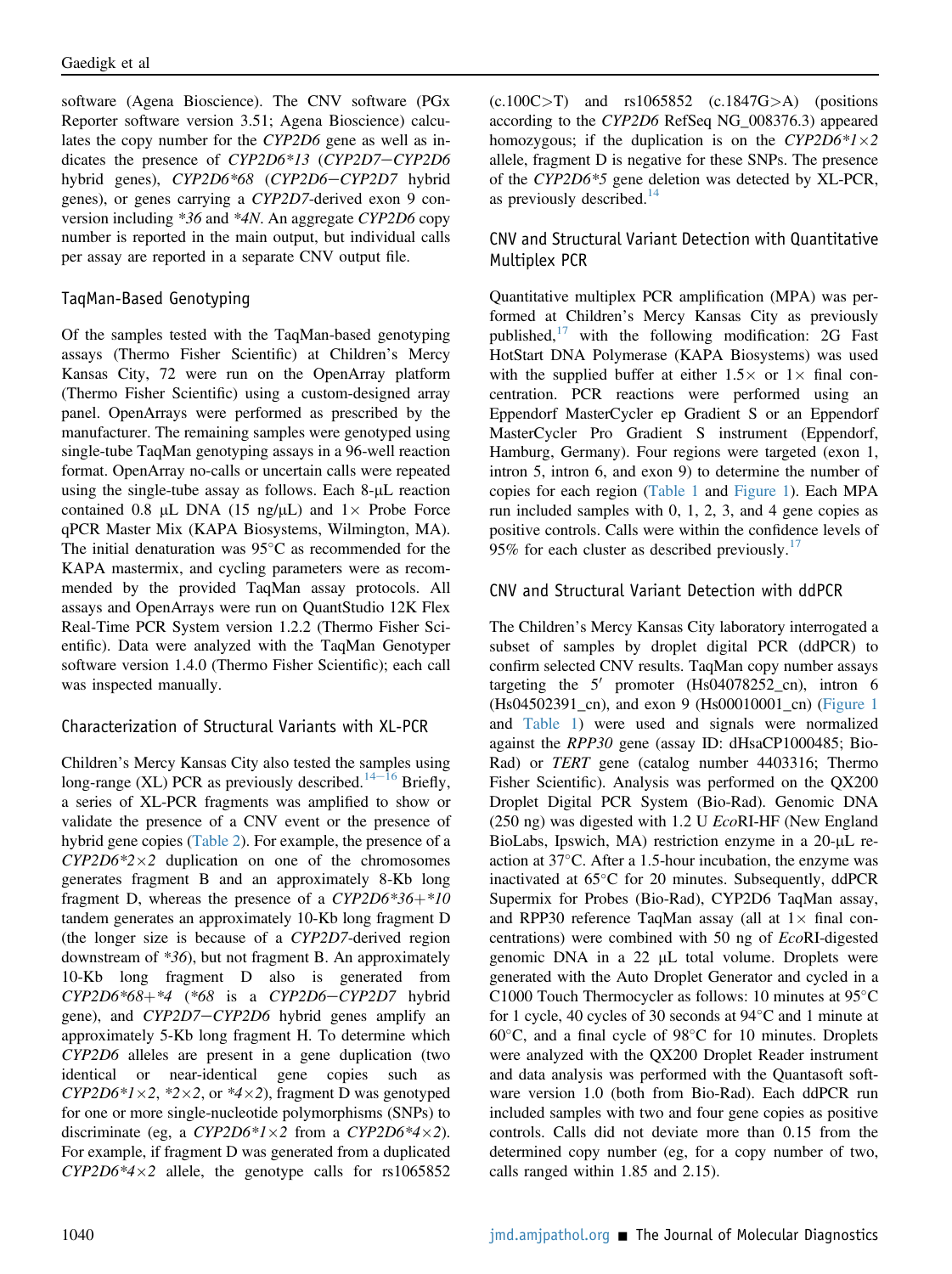software (Agena Bioscience). The CNV software (PGx Reporter software version 3.51; Agena Bioscience) calculates the copy number for the CYP2D6 gene as well as indicates the presence of  $CYP2D6*13$  ( $CYP2D7-CYP2D6$ hybrid genes), CYP2D6\*68 (CYP2D6-CYP2D7 hybrid genes), or genes carrying a CYP2D7-derived exon 9 conversion including \*36 and \*4N. An aggregate CYP2D6 copy number is reported in the main output, but individual calls per assay are reported in a separate CNV output file.

### TaqMan-Based Genotyping

Of the samples tested with the TaqMan-based genotyping assays (Thermo Fisher Scientific) at Children's Mercy Kansas City, 72 were run on the OpenArray platform (Thermo Fisher Scientific) using a custom-designed array panel. OpenArrays were performed as prescribed by the manufacturer. The remaining samples were genotyped using single-tube TaqMan genotyping assays in a 96-well reaction format. OpenArray no-calls or uncertain calls were repeated using the single-tube assay as follows. Each  $8-\mu L$  reaction contained 0.8 µL DNA (15 ng/µL) and  $1 \times$  Probe Force qPCR Master Mix (KAPA Biosystems, Wilmington, MA). The initial denaturation was  $95^{\circ}$ C as recommended for the KAPA mastermix, and cycling parameters were as recommended by the provided TaqMan assay protocols. All assays and OpenArrays were run on QuantStudio 12K Flex Real-Time PCR System version 1.2.2 (Thermo Fisher Scientific). Data were analyzed with the TaqMan Genotyper software version 1.4.0 (Thermo Fisher Scientific); each call was inspected manually.

### Characterization of Structural Variants with XL-PCR

Children's Mercy Kansas City also tested the samples using long-range (XL) PCR as previously described.<sup>[14](#page-17-10)-[16](#page-17-10)</sup> Briefly, a series of XL-PCR fragments was amplified to show or validate the presence of a CNV event or the presence of hybrid gene copies [\(Table 2\)](#page-4-0). For example, the presence of a  $CYP2D6*2\times2$  duplication on one of the chromosomes generates fragment B and an approximately 8-Kb long fragment D, whereas the presence of a  $CYP2D6*36+*10$ tandem generates an approximately 10-Kb long fragment D (the longer size is because of a CYP2D7-derived region downstream of \*36), but not fragment B. An approximately 10-Kb long fragment D also is generated from  $CYP2D6*68+*4$  (\*68 is a  $CYP2D6-CYP2D7$  hybrid gene), and CYP2D7-CYP2D6 hybrid genes amplify an approximately 5-Kb long fragment H. To determine which CYP2D6 alleles are present in a gene duplication (two identical or near-identical gene copies such as  $CYP2D6*1\times2$ , \*2 $\times2$ , or \*4 $\times2$ ), fragment D was genotyped for one or more single-nucleotide polymorphisms (SNPs) to discriminate (eg, a  $CYP2D6*1\times2$  from a  $CYP2D6*4\times2$ ). For example, if fragment D was generated from a duplicated  $CYP2D6*4\times2$  allele, the genotype calls for rs1065852

 $(c.100C>T)$  and  $rs1065852$   $(c.1847G>A)$  (positions according to the CYP2D6 RefSeq NG\_008376.3) appeared homozygous; if the duplication is on the  $CYP2D6*1\times2$ allele, fragment D is negative for these SNPs. The presence of the CYP2D6\*5 gene deletion was detected by XL-PCR, as previously described. $14$ 

### CNV and Structural Variant Detection with Quantitative Multiplex PCR

Quantitative multiplex PCR amplification (MPA) was performed at Children's Mercy Kansas City as previously published, $17$  with the following modification: 2G Fast HotStart DNA Polymerase (KAPA Biosystems) was used with the supplied buffer at either  $1.5 \times$  or  $1 \times$  final concentration. PCR reactions were performed using an Eppendorf MasterCycler ep Gradient S or an Eppendorf MasterCycler Pro Gradient S instrument (Eppendorf, Hamburg, Germany). Four regions were targeted (exon 1, intron 5, intron 6, and exon 9) to determine the number of copies for each region ([Table 1](#page-3-0) and [Figure 1\)](#page-2-0). Each MPA run included samples with 0, 1, 2, 3, and 4 gene copies as positive controls. Calls were within the confidence levels of 95% for each cluster as described previously.<sup>[17](#page-18-3)</sup>

### CNV and Structural Variant Detection with ddPCR

The Children's Mercy Kansas City laboratory interrogated a subset of samples by droplet digital PCR (ddPCR) to confirm selected CNV results. TaqMan copy number assays targeting the  $5'$  promoter (Hs04078252\_cn), intron 6 (Hs04502391\_cn), and exon 9 (Hs00010001\_cn) ([Figure 1](#page-2-0) and [Table 1\)](#page-3-0) were used and signals were normalized against the RPP30 gene (assay ID: dHsaCP1000485; Bio-Rad) or TERT gene (catalog number 4403316; Thermo Fisher Scientific). Analysis was performed on the QX200 Droplet Digital PCR System (Bio-Rad). Genomic DNA (250 ng) was digested with 1.2 U EcoRI-HF (New England BioLabs, Ipswich, MA) restriction enzyme in a  $20$ - $\mu$ L reaction at  $37^{\circ}$ C. After a 1.5-hour incubation, the enzyme was inactivated at  $65^{\circ}$ C for 20 minutes. Subsequently, ddPCR Supermix for Probes (Bio-Rad), CYP2D6 TaqMan assay, and RPP30 reference TaqMan assay (all at  $1 \times$  final concentrations) were combined with 50 ng of EcoRI-digested genomic DNA in a  $22 \mu L$  total volume. Droplets were generated with the Auto Droplet Generator and cycled in a C1000 Touch Thermocycler as follows: 10 minutes at  $95^{\circ}$ C for 1 cycle, 40 cycles of 30 seconds at  $94^{\circ}$ C and 1 minute at  $60^{\circ}$ C, and a final cycle of 98 $^{\circ}$ C for 10 minutes. Droplets were analyzed with the QX200 Droplet Reader instrument and data analysis was performed with the Quantasoft software version 1.0 (both from Bio-Rad). Each ddPCR run included samples with two and four gene copies as positive controls. Calls did not deviate more than 0.15 from the determined copy number (eg, for a copy number of two, calls ranged within 1.85 and 2.15).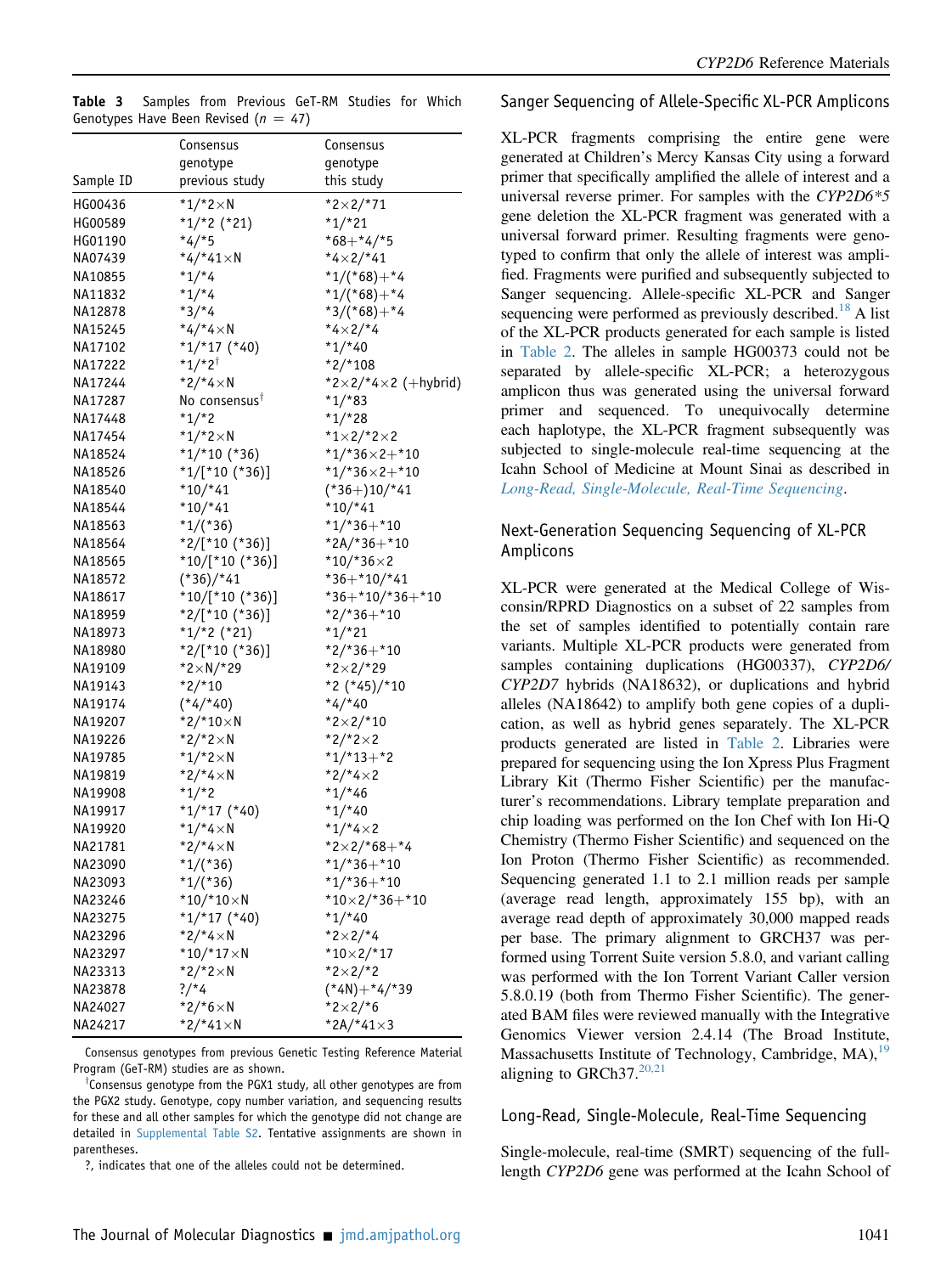<span id="page-7-1"></span>

|  |  | <b>Table 3</b> Samples from Previous GeT-RM Studies for Which |  |  |
|--|--|---------------------------------------------------------------|--|--|
|  |  | Genotypes Have Been Revised ( $n = 47$ )                      |  |  |

|           | Consensus                      | Consensus                    |
|-----------|--------------------------------|------------------------------|
|           | genotype                       | genotype                     |
| Sample ID | previous study                 | this study                   |
| HG00436   | $*1/*2 \times N$               | $*2 \times 2/*71$            |
| HG00589   | $*1/*2$ (*21)                  | $*1/*21$                     |
| HG01190   | $*4/*5$                        | $*68 + *4/*5$                |
| NA07439   | $*4/*41\times N$               | *4×2/*41                     |
| NA10855   | $*1/*4$                        | $*1/(*68) + *4$              |
| NA11832   | $*1/*4$                        | $*1/(*68) + *4$              |
| NA12878   | $*3/*4$                        | $*3/(*68) + *4$              |
| NA15245   | $*4/*4 \times N$               | $*4\times2/*4$               |
| NA17102   | $*1/*17 (*40)$                 | $*1/*40$                     |
| NA17222   | $*1/*2^{\dagger}$              | $*2/*108$                    |
| NA17244   | $*2/*4\times N$                | *2×2/*4×2 (+hybrid)          |
| NA17287   | No consensus <sup>T</sup>      | $*1/*83$                     |
| NA17448   | $*1/*2$                        | $*1/*28$                     |
| NA17454   | * $1/*2×N$                     | *1×2/*2×2                    |
| NA18524   | $*1/*10(*36)$                  | $*1/*36\times2+*10$          |
| NA18526   | $*1/[*10(*36)]$                | $*1/*36\times2+*10$          |
| NA18540   | $*10/*41$                      | $(*36+)10/*41$               |
| NA18544   | $*10/*41$                      | $*10/*41$                    |
| NA18563   | $*1/(*36)$                     | $*1/*36+*10$                 |
| NA18564   | $*2/[*10(*36)]$                | $*2A/*36+*10$                |
| NA18565   | $*10/[*10(*36)]$               | $*10/*36\times2$             |
| NA18572   | $(*36)$ /*41                   | $*36+*10/*41$                |
| NA18617   | $*10/[*10(*36)]$               | $*36+*10/*36+*10$            |
| NA18959   | *2/[*10 (*36)]                 | $*2/*36+*10$                 |
| NA18973   | $*1/*2 (*21)$                  | $*1/*21$                     |
| NA18980   | $*2/[*10(*36)]$                | $*2/*36+*10$                 |
| NA19109   | $*2 \times N/*29$              | $*2 \times 2/*29$            |
| NA19143   | $*2/*10$                       | *2 (*45)/*10                 |
| NA19174   | $(*4/*40)$                     | *4/*40                       |
| NA19207   | $*2/*10 \times N$              | $*2\times2/*10$              |
| NA19226   | $*2/*2 \times N$               | $*2/*2×2$                    |
| NA19785   | * $1/*2×N$                     | $*1/*13+*2$                  |
| NA19819   | $*2/*4\times N$                | $*2/*4\times2$               |
| NA19908   | $*1/*2$                        | $*1/*46$                     |
| NA19917   | $*1/*17$ (*40)                 | $*1/*40$                     |
| NA19920   | $*1/*4 \times N$               | $*1/*4×2$                    |
| NA21781   | $*2/*4\times N$                | $*2\times2/*68+*4$           |
| NA23090   |                                |                              |
| NA23093   | $*1/(*36)$<br>$*1/(*36)$       | $*1/*36+*10$<br>$*1/*36+*10$ |
| NA23246   |                                |                              |
| NA23275   | * $10/*10×N$<br>$*1/*17$ (*40) | $*10\times2/*36+*10$         |
|           | *2/*4×N                        | $*1/*40$<br>$*2 \times 2/*4$ |
| NA23296   |                                |                              |
| NA23297   | * $10/*17×N$                   | $*10\times2/*17$             |
| NA23313   | $*2/*2 \times N$               | $*2\times2/*2$               |
| NA23878   | $?$ /*4                        | $(*4N) + *4/*39$             |
| NA24027   | *2/*6 $\times$ N               | $*2 \times 2/*6$             |
| NA24217   | $*2/*41 \times N$              | *2A/*41×3                    |

Consensus genotypes from previous Genetic Testing Reference Material Program (GeT-RM) studies are as shown.

<sup>†</sup>Consensus genotype from the PGX1 study, all other genotypes are from the PGX2 study. Genotype, copy number variation, and sequencing results for these and all other samples for which the genotype did not change are detailed in [Supplemental Table S2.](#page-17-9) Tentative assignments are shown in parentheses.

?, indicates that one of the alleles could not be determined.

Sanger Sequencing of Allele-Specific XL-PCR Amplicons

XL-PCR fragments comprising the entire gene were generated at Children's Mercy Kansas City using a forward primer that specifically amplified the allele of interest and a universal reverse primer. For samples with the CYP2D6\*5 gene deletion the XL-PCR fragment was generated with a universal forward primer. Resulting fragments were genotyped to confirm that only the allele of interest was amplified. Fragments were purified and subsequently subjected to Sanger sequencing. Allele-specific XL-PCR and Sanger sequencing were performed as previously described.<sup>[18](#page-18-1)</sup> A list of the XL-PCR products generated for each sample is listed in [Table 2](#page-4-0). The alleles in sample HG00373 could not be separated by allele-specific XL-PCR; a heterozygous amplicon thus was generated using the universal forward primer and sequenced. To unequivocally determine each haplotype, the XL-PCR fragment subsequently was subjected to single-molecule real-time sequencing at the Icahn School of Medicine at Mount Sinai as described in [Long-Read, Single-Molecule, Real-Time Sequencing](#page-7-0).

### Next-Generation Sequencing Sequencing of XL-PCR Amplicons

XL-PCR were generated at the Medical College of Wisconsin/RPRD Diagnostics on a subset of 22 samples from the set of samples identified to potentially contain rare variants. Multiple XL-PCR products were generated from samples containing duplications (HG00337), CYP2D6/ CYP2D7 hybrids (NA18632), or duplications and hybrid alleles (NA18642) to amplify both gene copies of a duplication, as well as hybrid genes separately. The XL-PCR products generated are listed in [Table 2.](#page-4-0) Libraries were prepared for sequencing using the Ion Xpress Plus Fragment Library Kit (Thermo Fisher Scientific) per the manufacturer's recommendations. Library template preparation and chip loading was performed on the Ion Chef with Ion Hi-Q Chemistry (Thermo Fisher Scientific) and sequenced on the Ion Proton (Thermo Fisher Scientific) as recommended. Sequencing generated 1.1 to 2.1 million reads per sample (average read length, approximately 155 bp), with an average read depth of approximately 30,000 mapped reads per base. The primary alignment to GRCH37 was performed using Torrent Suite version 5.8.0, and variant calling was performed with the Ion Torrent Variant Caller version 5.8.0.19 (both from Thermo Fisher Scientific). The generated BAM files were reviewed manually with the Integrative Genomics Viewer version 2.4.14 (The Broad Institute, Massachusetts Institute of Technology, Cambridge, MA), <sup>[19](#page-18-4)</sup> aligning to GRCh37. $20,21$ 

#### <span id="page-7-0"></span>Long-Read, Single-Molecule, Real-Time Sequencing

Single-molecule, real-time (SMRT) sequencing of the fulllength CYP2D6 gene was performed at the Icahn School of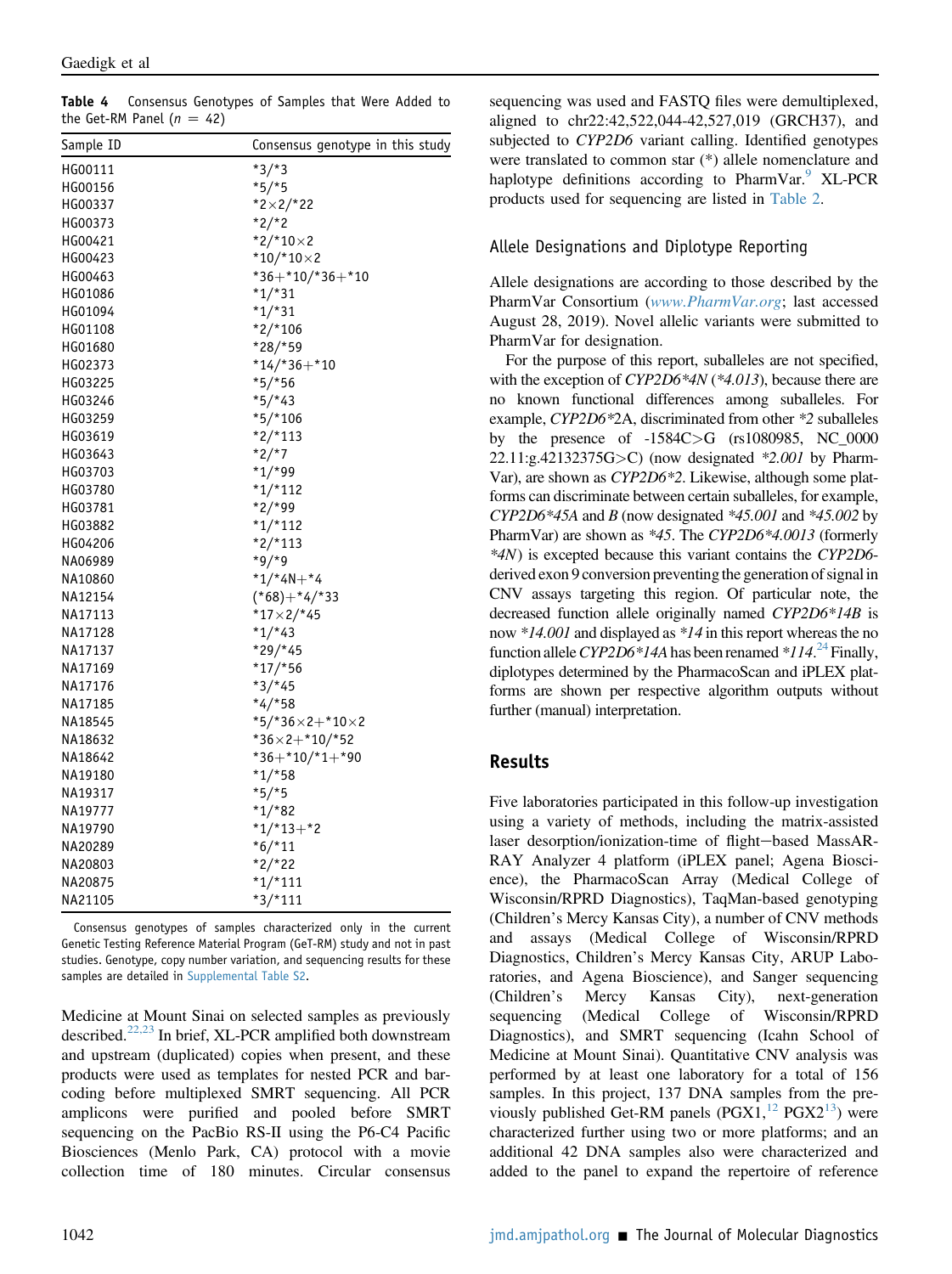<span id="page-8-0"></span>Table 4 Consensus Genotypes of Samples that Were Added to the Get-RM Panel ( $n = 42$ )

| Sample ID | Consensus genotype in this study        |
|-----------|-----------------------------------------|
| HG00111   | $*3/*3$                                 |
| HG00156   | $*5/*5$                                 |
| HG00337   | $*2 \times 2/*22$                       |
| HG00373   | $*2/*2$                                 |
| HG00421   | $*2/*10×2$                              |
| HG00423   | * $10/*10×2$                            |
| HG00463   | $*36+*10/*36+*10$                       |
| HG01086   | $*1/*31$                                |
| HG01094   | $*1/*31$                                |
| HG01108   | $*2/*106$                               |
| HG01680   | $*28/*59$                               |
| HG02373   | $*14/*36+*10$                           |
| HG03225   | $*5/*56$                                |
| HG03246   | $*5/*43$                                |
| HG03259   | $*5/*106$                               |
| HG03619   | $*2/*113$                               |
| HG03643   | $*2/*7$                                 |
| HG03703   | $*1/*99$                                |
| HG03780   | $*1/*112$                               |
| HG03781   | $*2/*99$                                |
| HG03882   | $*1/*112$                               |
| HG04206   | $*2/*113$                               |
| NA06989   | $*9/*9$                                 |
| NA10860   | $*1/*4N+*4$                             |
| NA12154   | $(*68) + *4/*33$                        |
| NA17113   | $*17 \times 2$ /*45                     |
| NA17128   | $*1/*43$                                |
| NA17137   | $*29/*45$                               |
| NA17169   | $*17/*56$                               |
| NA17176   | $*3/*45$                                |
| NA17185   | $*4/*58$                                |
| NA18545   | $*$ 5/*36 $\times$ 2 $+$ *10 $\times$ 2 |
| NA18632   | $*36\times2+*10/*52$                    |
| NA18642   | $*36+*10/*1+*90$                        |
| NA19180   | $*1/*58$                                |
| NA19317   | $*5/*5$                                 |
| NA19777   | $*1/*82$                                |
| NA19790   | $*1/*13+*2$                             |
| NA20289   | $*6/*11$                                |
| NA20803   | $*2/*22$                                |
| NA20875   | $*1/*111$                               |
| NA21105   | $*3/*111$                               |

Consensus genotypes of samples characterized only in the current Genetic Testing Reference Material Program (GeT-RM) study and not in past studies. Genotype, copy number variation, and sequencing results for these samples are detailed in [Supplemental Table S2.](#page-17-9)

Medicine at Mount Sinai on selected samples as previously described.<sup>[22,23](#page-18-2)</sup> In brief, XL-PCR amplified both downstream and upstream (duplicated) copies when present, and these products were used as templates for nested PCR and barcoding before multiplexed SMRT sequencing. All PCR amplicons were purified and pooled before SMRT sequencing on the PacBio RS-II using the P6-C4 Pacific Biosciences (Menlo Park, CA) protocol with a movie collection time of 180 minutes. Circular consensus sequencing was used and FASTQ files were demultiplexed, aligned to chr22:42,522,044-42,527,019 (GRCH37), and subjected to *CYP2D6* variant calling. Identified genotypes were translated to common star (\*) allele nomenclature and haplotype definitions according to PharmVar.<sup>[9](#page-17-5)</sup> XL-PCR products used for sequencing are listed in [Table 2](#page-4-0).

### Allele Designations and Diplotype Reporting

Allele designations are according to those described by the PharmVar Consortium ([www.PharmVar.org](http://www.PharmVar.org); last accessed August 28, 2019). Novel allelic variants were submitted to PharmVar for designation.

For the purpose of this report, suballeles are not specified, with the exception of  $CYP2D6*4N$  (\*4.013), because there are no known functional differences among suballeles. For example, CYP2D6\*2A, discriminated from other \*2 suballeles by the presence of -1584C>G (rs1080985, NC\_0000 22.11:g.42132375G>C) (now designated \*2.001 by Pharm-Var), are shown as CYP2D6\*2. Likewise, although some platforms can discriminate between certain suballeles, for example,  $CYP2D6*45A$  and B (now designated  $*45.001$  and  $*45.002$  by PharmVar) are shown as \*45. The CYP2D6\*4.0013 (formerly \*4N) is excepted because this variant contains the CYP2D6 derived exon 9 conversion preventing the generation of signal in CNV assays targeting this region. Of particular note, the decreased function allele originally named CYP2D6\*14B is now \*14.001 and displayed as \*14 in this report whereas the no function allele CYP2D6\*14A has been renamed \*114.<sup>[24](#page-18-6)</sup> Finally, diplotypes determined by the PharmacoScan and iPLEX platforms are shown per respective algorithm outputs without further (manual) interpretation.

### Results

Five laboratories participated in this follow-up investigation using a variety of methods, including the matrix-assisted laser desorption/ionization-time of flight-based MassAR-RAY Analyzer 4 platform (iPLEX panel; Agena Bioscience), the PharmacoScan Array (Medical College of Wisconsin/RPRD Diagnostics), TaqMan-based genotyping (Children's Mercy Kansas City), a number of CNV methods and assays (Medical College of Wisconsin/RPRD Diagnostics, Children's Mercy Kansas City, ARUP Laboratories, and Agena Bioscience), and Sanger sequencing (Children's Mercy Kansas City), next-generation sequencing (Medical College of Wisconsin/RPRD Diagnostics), and SMRT sequencing (Icahn School of Medicine at Mount Sinai). Quantitative CNV analysis was performed by at least one laboratory for a total of 156 samples. In this project, 137 DNA samples from the previously published Get-RM panels  $(PGX1<sup>12</sup>, PGX2<sup>13</sup>)$  $(PGX1<sup>12</sup>, PGX2<sup>13</sup>)$  $(PGX1<sup>12</sup>, PGX2<sup>13</sup>)$  $(PGX1<sup>12</sup>, PGX2<sup>13</sup>)$  $(PGX1<sup>12</sup>, PGX2<sup>13</sup>)$  were characterized further using two or more platforms; and an additional 42 DNA samples also were characterized and added to the panel to expand the repertoire of reference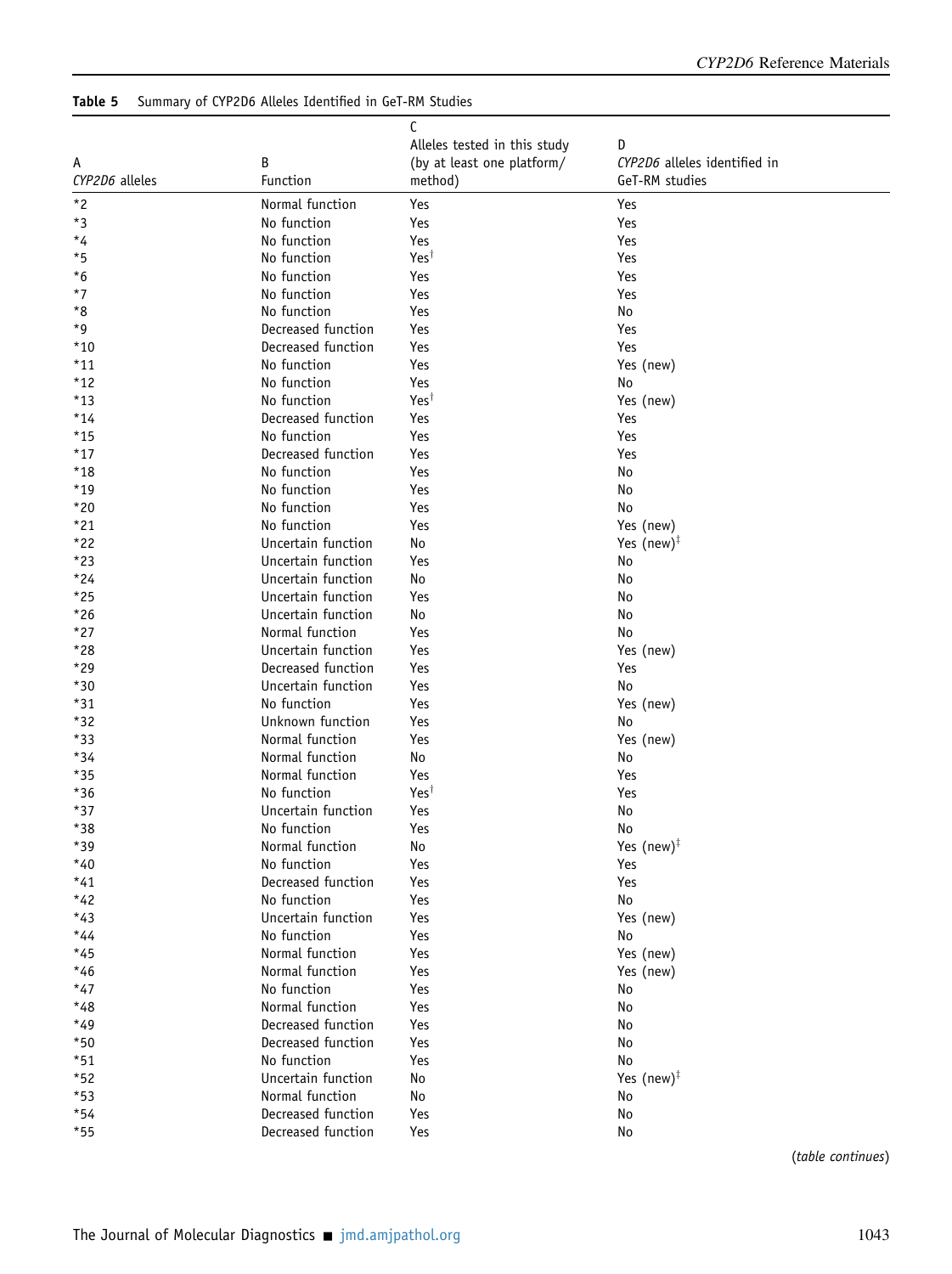## <span id="page-9-0"></span>Table 5 Summary of CYP2D6 Alleles Identified in GeT-RM Studies

|                |                    | C                            |                              |  |  |  |
|----------------|--------------------|------------------------------|------------------------------|--|--|--|
|                |                    | Alleles tested in this study | D                            |  |  |  |
| А              | В                  | (by at least one platform/   | CYP2D6 alleles identified in |  |  |  |
| CYP2D6 alleles | Function           | method)                      | GeT-RM studies               |  |  |  |
|                |                    |                              |                              |  |  |  |
| $*2$           | Normal function    | Yes                          | Yes                          |  |  |  |
| $^{\ast}3$     | No function        | Yes                          | Yes                          |  |  |  |
| $*_{4}$        | No function        | Yes                          | Yes                          |  |  |  |
| *5             | No function        | Yes <sup>t</sup>             | Yes                          |  |  |  |
| $^{\star}6$    | No function        | Yes                          | Yes                          |  |  |  |
| $*7$           | No function        | Yes                          | Yes                          |  |  |  |
| *8             | No function        | Yes                          | No                           |  |  |  |
| *9             | Decreased function | Yes                          | Yes                          |  |  |  |
| *10            | Decreased function | Yes                          | Yes                          |  |  |  |
| *11            | No function        | Yes                          | Yes (new)                    |  |  |  |
| $*12$          | No function        | Yes                          | No                           |  |  |  |
| $*13$          | No function        | Yes <sup>t</sup>             | Yes (new)                    |  |  |  |
| $*14$          | Decreased function | Yes                          | Yes                          |  |  |  |
| $*15$          | No function        | Yes                          | Yes                          |  |  |  |
| $*17$          | Decreased function | Yes                          | Yes                          |  |  |  |
| *18            | No function        | Yes                          | No                           |  |  |  |
| $*19$          | No function        | Yes                          | No                           |  |  |  |
| $*20$          | No function        | Yes                          | No                           |  |  |  |
| $*21$          | No function        | Yes                          | Yes (new)                    |  |  |  |
| *22            | Uncertain function | No                           | Yes $(new)^{\ddagger}$       |  |  |  |
| $*23$          | Uncertain function | Yes                          | No                           |  |  |  |
| $*24$          | Uncertain function | No                           | No                           |  |  |  |
| $*25$          | Uncertain function | Yes                          | No                           |  |  |  |
| $*26$          | Uncertain function | No                           | No                           |  |  |  |
| $*27$          | Normal function    | Yes                          | No                           |  |  |  |
| *28            | Uncertain function | Yes                          | Yes (new)                    |  |  |  |
| $*29$          | Decreased function | Yes                          | Yes                          |  |  |  |
| $*30$          | Uncertain function | Yes                          | No                           |  |  |  |
| $*31$          | No function        | Yes                          | Yes (new)                    |  |  |  |
| *32            | Unknown function   | Yes                          | No                           |  |  |  |
| $*33$          | Normal function    | Yes                          | Yes (new)                    |  |  |  |
| *34            | Normal function    | No                           | No                           |  |  |  |
| $*35$          | Normal function    | Yes                          | Yes                          |  |  |  |
| $*36$          | No function        | Yest                         | Yes                          |  |  |  |
| $*37$          | Uncertain function | Yes                          | No                           |  |  |  |
| $*38$          | No function        | Yes                          | No                           |  |  |  |
| $*39$          | Normal function    | No                           | Yes $(new)^{\ddagger}$       |  |  |  |
| $*40$          | No function        | Yes                          | Yes                          |  |  |  |
| $*41$          | Decreased function | Yes                          | Yes                          |  |  |  |
| $*42$          | No function        | Yes                          | No                           |  |  |  |
| $*43$          | Uncertain function | Yes                          | Yes (new)                    |  |  |  |
| $*44$          | No function        | Yes                          | No                           |  |  |  |
| $*45$          | Normal function    | Yes                          | Yes (new)                    |  |  |  |
| $*46$          | Normal function    | Yes                          | Yes (new)                    |  |  |  |
| $*47$          | No function        | Yes                          | No                           |  |  |  |
| *48            | Normal function    | Yes                          | No                           |  |  |  |
| *49            | Decreased function | Yes                          | No                           |  |  |  |
| $*50$          | Decreased function | Yes                          | No                           |  |  |  |
| $*51$          | No function        | Yes                          | No                           |  |  |  |
| $*52$          | Uncertain function | No                           | Yes $(new)^{\ddagger}$       |  |  |  |
| $*53$          | Normal function    | No                           | No                           |  |  |  |
| $*54$          | Decreased function | Yes                          | No                           |  |  |  |
| $*55$          | Decreased function | Yes                          | No                           |  |  |  |
|                |                    |                              |                              |  |  |  |

(table continues)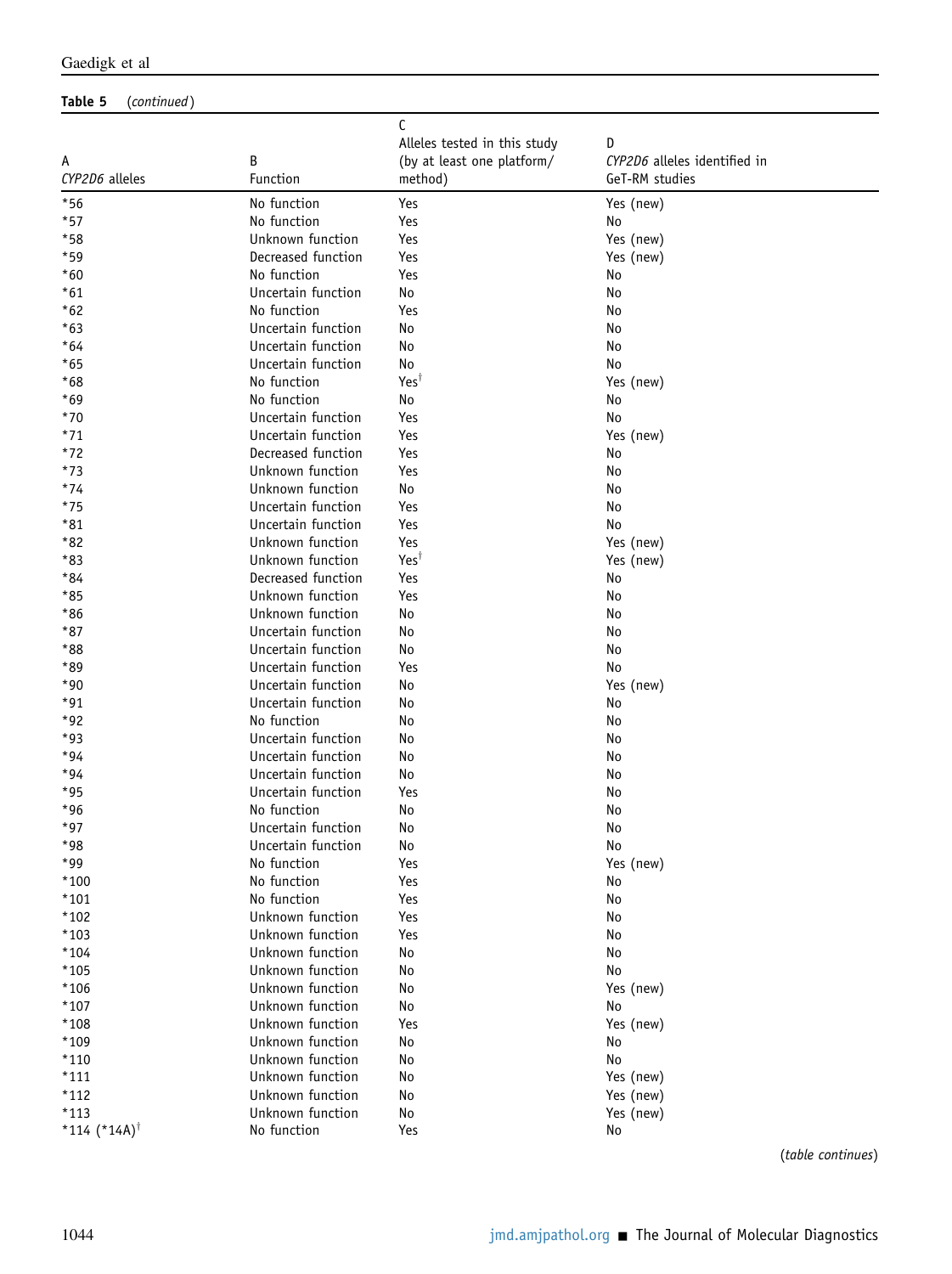### Table 5 (continued)

| А                          | В                  | C<br>Alleles tested in this study<br>(by at least one platform/ | D<br>CYP2D6 alleles identified in |
|----------------------------|--------------------|-----------------------------------------------------------------|-----------------------------------|
| CYP2D6 alleles             | Function           | method)                                                         | GeT-RM studies                    |
| $*56$                      | No function        | Yes                                                             | Yes (new)                         |
| $*57$                      | No function        | Yes                                                             | No                                |
| $*58$                      | Unknown function   | Yes                                                             | Yes (new)                         |
| $*59$                      | Decreased function | Yes                                                             | Yes (new)                         |
| $*60$                      | No function        | Yes                                                             | No                                |
| $*61$                      | Uncertain function | No                                                              | No                                |
| $*62$                      | No function        | Yes                                                             | No                                |
| $*63$                      | Uncertain function | No                                                              | No                                |
| $*64$                      | Uncertain function | No                                                              | No                                |
| $*65$                      | Uncertain function | No                                                              | No                                |
| $*68$                      | No function        | $Yes^{\dagger}$                                                 | Yes (new)                         |
| $*69$                      | No function        | No                                                              | No                                |
| $*70$                      | Uncertain function | Yes                                                             | No                                |
| $*71$                      | Uncertain function | Yes                                                             | Yes (new)                         |
| $*72$                      | Decreased function | Yes                                                             | No                                |
| $*73$                      | Unknown function   | Yes                                                             | No                                |
| $*74$                      | Unknown function   | No                                                              | No                                |
| $*75$                      | Uncertain function | Yes                                                             | No                                |
| $*81$                      | Uncertain function | Yes                                                             | No                                |
| *82                        | Unknown function   | Yes                                                             | Yes (new)                         |
| $*83$                      | Unknown function   | Yest                                                            | Yes (new)                         |
| *84                        | Decreased function | Yes                                                             | No                                |
| $*85$                      | Unknown function   | Yes                                                             | No                                |
| $*86$                      | Unknown function   | No                                                              | No                                |
| $*87$                      | Uncertain function | No                                                              | No                                |
| *88                        | Uncertain function | No                                                              | No                                |
| *89                        | Uncertain function | Yes                                                             | No                                |
| $*90$                      | Uncertain function | No                                                              | Yes (new)                         |
| $*91$                      | Uncertain function | No                                                              | No                                |
| $*92$                      | No function        | No                                                              | No                                |
| $*93$                      | Uncertain function | No                                                              | No                                |
| $*94$                      | Uncertain function | No                                                              | No                                |
| $*94$                      | Uncertain function | No                                                              | No                                |
| $*95$                      | Uncertain function | Yes                                                             | No                                |
| $*96$                      | No function        | No                                                              | No                                |
| $*97$                      | Uncertain function | No                                                              | No                                |
| $*98$                      | Uncertain function | No                                                              | No                                |
| *99                        | No function        | Yes                                                             | Yes (new)                         |
| $*100$                     | No function        | Yes                                                             | No                                |
| $*101$                     | No function        | Yes                                                             | No                                |
| $*102$                     | Unknown function   | Yes                                                             | No                                |
| $*103$                     | Unknown function   | Yes                                                             | No                                |
| *104                       | Unknown function   | No                                                              | No                                |
| $*105$                     | Unknown function   | No                                                              | No                                |
| $*106$                     | Unknown function   | No                                                              | Yes (new)                         |
| $*107$                     | Unknown function   | No                                                              | No                                |
| *108                       | Unknown function   | Yes                                                             | Yes (new)                         |
| $*109$                     | Unknown function   | No                                                              | No                                |
| $*110$                     | Unknown function   | No                                                              | No                                |
| $*111$                     | Unknown function   | No                                                              | Yes (new)                         |
| $*112$                     | Unknown function   | No                                                              | Yes (new)                         |
| $*113$                     | Unknown function   | No                                                              | Yes (new)                         |
| *114 $(*14A)$ <sup>†</sup> | No function        | Yes                                                             | No                                |
|                            |                    |                                                                 | (table continues)                 |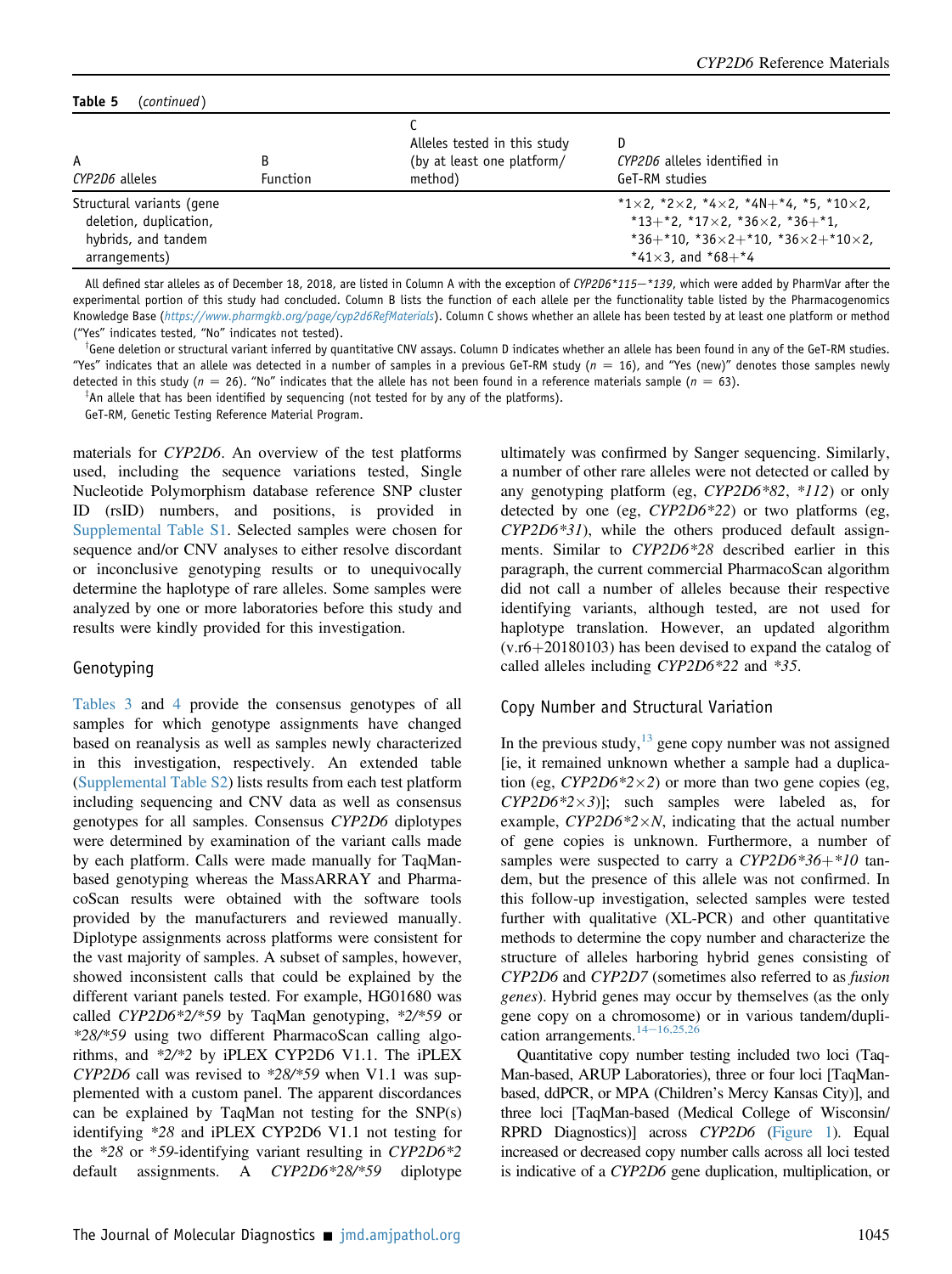#### Table 5 (continued)

| A<br>CYP2D6 alleles                                                                         | <b>Function</b> | Alleles tested in this study<br>(by at least one platform/<br>method) | CYP2D6 alleles identified in<br>GeT-RM studies                                                                                                                                        |
|---------------------------------------------------------------------------------------------|-----------------|-----------------------------------------------------------------------|---------------------------------------------------------------------------------------------------------------------------------------------------------------------------------------|
| Structural variants (gene<br>deletion, duplication,<br>hybrids, and tandem<br>arrangements) |                 |                                                                       | *1×2, *2×2, *4×2, *4N+*4, *5, *10×2,<br>$*13+*2$ , $*17\times2$ , $*36\times2$ , $*36+*1$ ,<br>$*36+*10$ , $*36\times2+*10$ , $*36\times2+*10\times2$ ,<br>*41 $\times$ 3, and *68+*4 |

All defined star alleles as of December 18, 2018, are listed in Column A with the exception of CYP2D6\*115-\*139, which were added by PharmVar after the experimental portion of this study had concluded. Column B lists the function of each allele per the functionality table listed by the Pharmacogenomics Knowledge Base (<https://www.pharmgkb.org/page/cyp2d6RefMaterials>). Column C shows whether an allele has been tested by at least one platform or method ("Yes" indicates tested, "No" indicates not tested).

 $^\intercal$ Gene deletion or structural variant inferred by quantitative CNV assays. Column D indicates whether an allele has been found in any of the GeT-RM studies. "Yes" indicates that an allele was detected in a number of samples in a previous GeT-RM study ( $n = 16$ ), and "Yes (new)" denotes those samples newly detected in this study ( $n = 26$ ). "No" indicates that the allele has not been found in a reference materials sample ( $n = 63$ ).

 $^{\ddagger}$ An allele that has been identified by sequencing (not tested for by any of the platforms).

GeT-RM, Genetic Testing Reference Material Program.

materials for CYP2D6. An overview of the test platforms used, including the sequence variations tested, Single Nucleotide Polymorphism database reference SNP cluster ID (rsID) numbers, and positions, is provided in [Supplemental Table S1.](#page-17-9) Selected samples were chosen for sequence and/or CNV analyses to either resolve discordant or inconclusive genotyping results or to unequivocally determine the haplotype of rare alleles. Some samples were analyzed by one or more laboratories before this study and results were kindly provided for this investigation.

#### Genotyping

[Tables 3](#page-7-1) and [4](#page-8-0) provide the consensus genotypes of all samples for which genotype assignments have changed based on reanalysis as well as samples newly characterized in this investigation, respectively. An extended table [\(Supplemental Table S2](#page-17-9)) lists results from each test platform including sequencing and CNV data as well as consensus genotypes for all samples. Consensus CYP2D6 diplotypes were determined by examination of the variant calls made by each platform. Calls were made manually for TaqManbased genotyping whereas the MassARRAY and PharmacoScan results were obtained with the software tools provided by the manufacturers and reviewed manually. Diplotype assignments across platforms were consistent for the vast majority of samples. A subset of samples, however, showed inconsistent calls that could be explained by the different variant panels tested. For example, HG01680 was called CYP2D6\*2/\*59 by TaqMan genotyping, \*2/\*59 or \*28/\*59 using two different PharmacoScan calling algorithms, and \*2/\*2 by iPLEX CYP2D6 V1.1. The iPLEX CYP2D6 call was revised to \*28/\*59 when V1.1 was supplemented with a custom panel. The apparent discordances can be explained by TaqMan not testing for the SNP(s) identifying \*28 and iPLEX CYP2D6 V1.1 not testing for the \*28 or \*59-identifying variant resulting in CYP2D6\*2 default assignments. A CYP2D6\*28/\*59 diplotype

ultimately was confirmed by Sanger sequencing. Similarly, a number of other rare alleles were not detected or called by any genotyping platform (eg, CYP2D6\*82, \*112) or only detected by one (eg,  $CYP2D6*22$ ) or two platforms (eg, CYP2D6\*31), while the others produced default assignments. Similar to CYP2D6\*28 described earlier in this paragraph, the current commercial PharmacoScan algorithm did not call a number of alleles because their respective identifying variants, although tested, are not used for haplotype translation. However, an updated algorithm  $(v.r6+20180103)$  has been devised to expand the catalog of called alleles including CYP2D6\*22 and \*35.

#### Copy Number and Structural Variation

In the previous study,  $\frac{13}{3}$  $\frac{13}{3}$  $\frac{13}{3}$  gene copy number was not assigned [ie, it remained unknown whether a sample had a duplication (eg,  $CYP2D6*2\times2$ ) or more than two gene copies (eg,  $CYP2D6*2\times3$ ]; such samples were labeled as, for example,  $CYP2D6*2\times N$ , indicating that the actual number of gene copies is unknown. Furthermore, a number of samples were suspected to carry a  $CYP2D6*36+*10$  tandem, but the presence of this allele was not confirmed. In this follow-up investigation, selected samples were tested further with qualitative (XL-PCR) and other quantitative methods to determine the copy number and characterize the structure of alleles harboring hybrid genes consisting of CYP2D6 and CYP2D7 (sometimes also referred to as fusion genes). Hybrid genes may occur by themselves (as the only gene copy on a chromosome) or in various tandem/duplication arrangements.  $14-16,25,26$  $14-16,25,26$  $14-16,25,26$ 

Quantitative copy number testing included two loci (Taq-Man-based, ARUP Laboratories), three or four loci [TaqManbased, ddPCR, or MPA (Children's Mercy Kansas City)], and three loci [TaqMan-based (Medical College of Wisconsin/ RPRD Diagnostics)] across CYP2D6 ([Figure 1\)](#page-2-0). Equal increased or decreased copy number calls across all loci tested is indicative of a CYP2D6 gene duplication, multiplication, or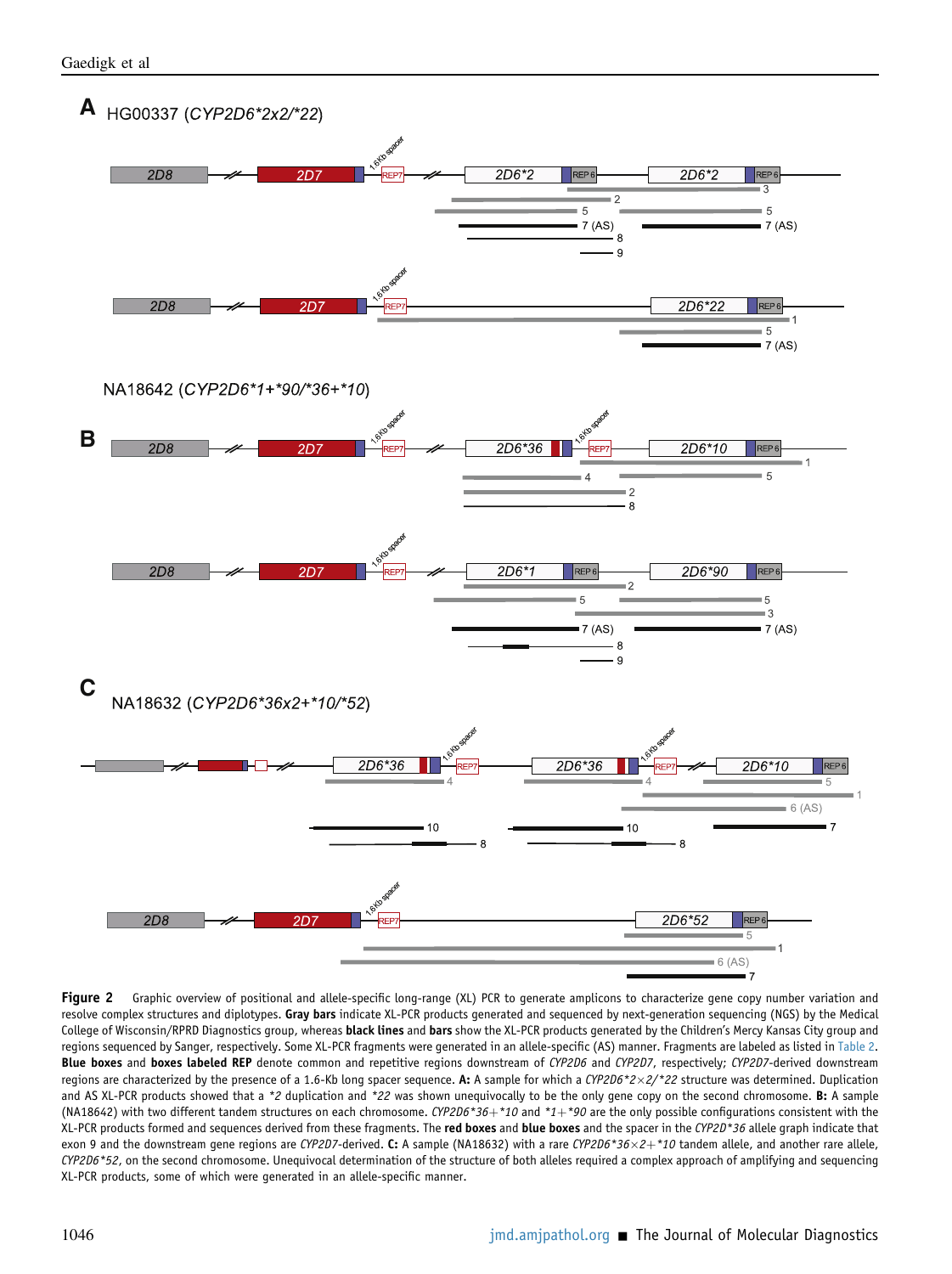<span id="page-12-0"></span>

Figure 2 Graphic overview of positional and allele-specific long-range (XL) PCR to generate amplicons to characterize gene copy number variation and resolve complex structures and diplotypes. Gray bars indicate XL-PCR products generated and sequenced by next-generation sequencing (NGS) by the Medical College of Wisconsin/RPRD Diagnostics group, whereas black lines and bars show the XL-PCR products generated by the Children's Mercy Kansas City group and regions sequenced by Sanger, respectively. Some XL-PCR fragments were generated in an allele-specific (AS) manner. Fragments are labeled as listed in [Table 2.](#page-4-0) Blue boxes and boxes labeled REP denote common and repetitive regions downstream of CYP2D6 and CYP2D7, respectively; CYP2D7-derived downstream regions are characterized by the presence of a 1.6-Kb long spacer sequence. A: A sample for which a CYP2D6\*2×2/\*22 structure was determined. Duplication and AS XL-PCR products showed that a \*2 duplication and \*22 was shown unequivocally to be the only gene copy on the second chromosome. B: A sample (NA18642) with two different tandem structures on each chromosome. CYP2D6\*36+\*10 and \*1+\*90 are the only possible configurations consistent with the XL-PCR products formed and sequences derived from these fragments. The red boxes and blue boxes and the spacer in the CYP2D\*36 allele graph indicate that exon 9 and the downstream gene regions are CYP2D7-derived. C: A sample (NA18632) with a rare CYP2D6\*36×2+\*10 tandem allele, and another rare allele, CYP2D6\*52, on the second chromosome. Unequivocal determination of the structure of both alleles required a complex approach of amplifying and sequencing XL-PCR products, some of which were generated in an allele-specific manner.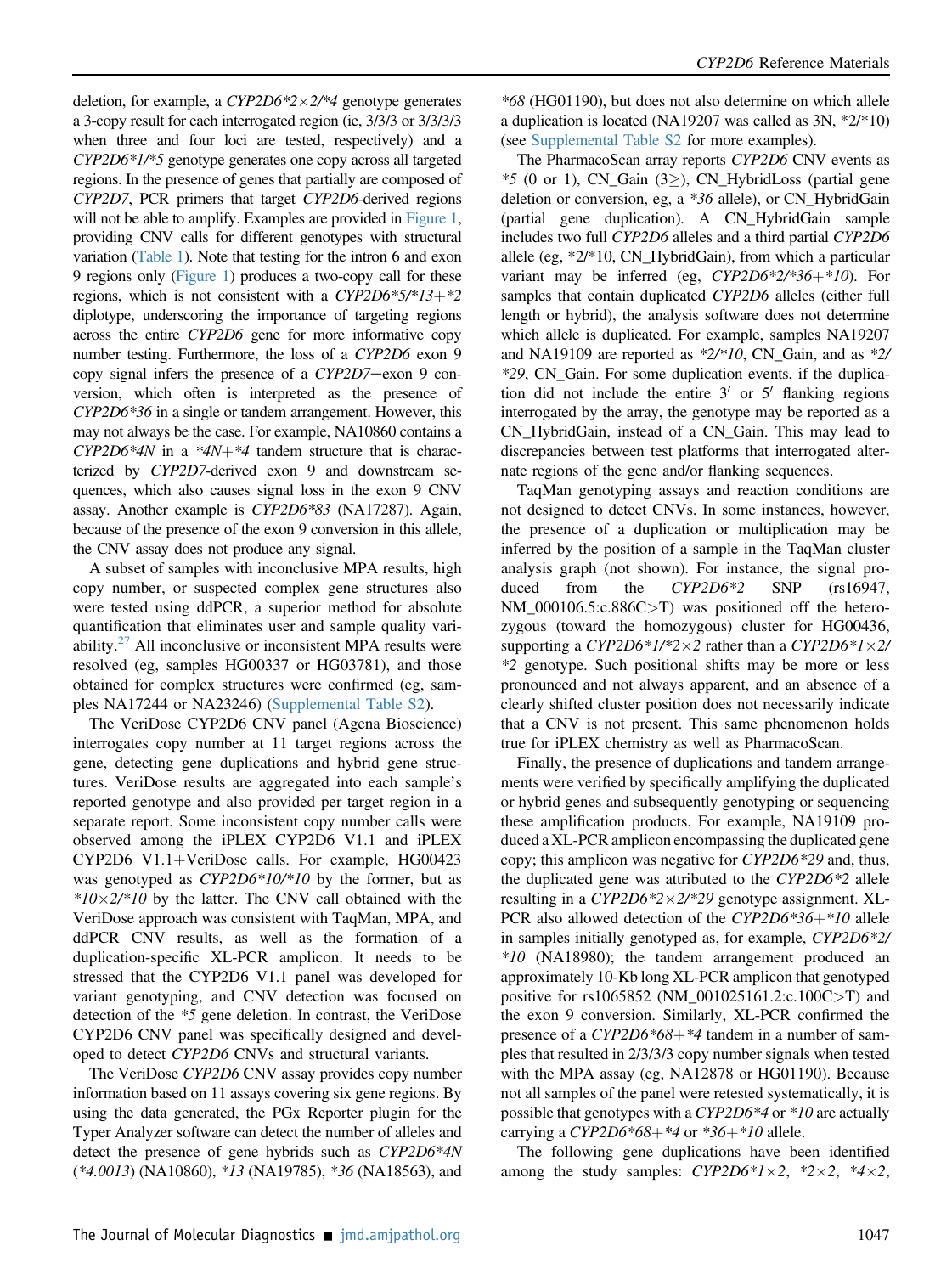deletion, for example, a  $CYP2D6*2\times2/*4$  genotype generates a 3-copy result for each interrogated region (ie, 3/3/3 or 3/3/3/3 when three and four loci are tested, respectively) and a CYP2D6\*1/\*5 genotype generates one copy across all targeted regions. In the presence of genes that partially are composed of CYP2D7, PCR primers that target CYP2D6-derived regions will not be able to amplify. Examples are provided in [Figure 1](#page-2-0), providing CNV calls for different genotypes with structural variation [\(Table 1](#page-3-0)). Note that testing for the intron 6 and exon 9 regions only [\(Figure 1](#page-2-0)) produces a two-copy call for these regions, which is not consistent with a  $CYP2D6*5/*13+*2$ diplotype, underscoring the importance of targeting regions across the entire CYP2D6 gene for more informative copy number testing. Furthermore, the loss of a CYP2D6 exon 9 copy signal infers the presence of a  $CYP2D7$ -exon 9 conversion, which often is interpreted as the presence of CYP2D6\*36 in a single or tandem arrangement. However, this may not always be the case. For example, NA10860 contains a  $CYP2D6*4N$  in a  $*4N+*4$  tandem structure that is characterized by CYP2D7-derived exon 9 and downstream sequences, which also causes signal loss in the exon 9 CNV assay. Another example is CYP2D6\*83 (NA17287). Again, because of the presence of the exon 9 conversion in this allele, the CNV assay does not produce any signal.

A subset of samples with inconclusive MPA results, high copy number, or suspected complex gene structures also were tested using ddPCR, a superior method for absolute quantification that eliminates user and sample quality variability. $27$  All inconclusive or inconsistent MPA results were resolved (eg, samples HG00337 or HG03781), and those obtained for complex structures were confirmed (eg, samples NA17244 or NA23246) [\(Supplemental Table S2](#page-17-9)).

The VeriDose CYP2D6 CNV panel (Agena Bioscience) interrogates copy number at 11 target regions across the gene, detecting gene duplications and hybrid gene structures. VeriDose results are aggregated into each sample's reported genotype and also provided per target region in a separate report. Some inconsistent copy number calls were observed among the iPLEX CYP2D6 V1.1 and iPLEX  $CYP2D6$  V1.1+VeriDose calls. For example, HG00423 was genotyped as *CYP2D6\*10/\*10* by the former, but as  $*10\times2/*10$  by the latter. The CNV call obtained with the VeriDose approach was consistent with TaqMan, MPA, and ddPCR CNV results, as well as the formation of a duplication-specific XL-PCR amplicon. It needs to be stressed that the CYP2D6 V1.1 panel was developed for variant genotyping, and CNV detection was focused on detection of the \*5 gene deletion. In contrast, the VeriDose CYP2D6 CNV panel was specifically designed and developed to detect CYP2D6 CNVs and structural variants.

The VeriDose CYP2D6 CNV assay provides copy number information based on 11 assays covering six gene regions. By using the data generated, the PGx Reporter plugin for the Typer Analyzer software can detect the number of alleles and detect the presence of gene hybrids such as CYP2D6\*4N  $(*4.0013)$  (NA10860),  $*13$  (NA19785),  $*36$  (NA18563), and \*68 (HG01190), but does not also determine on which allele a duplication is located (NA19207 was called as 3N, \*2/\*10) (see [Supplemental Table S2](#page-17-9) for more examples).

The PharmacoScan array reports CYP2D6 CNV events as \*5 (0 or 1), CN\_Gain  $(3 \geq)$ , CN\_HybridLoss (partial gene deletion or conversion, eg, a \*36 allele), or CN\_HybridGain (partial gene duplication). A CN\_HybridGain sample includes two full CYP2D6 alleles and a third partial CYP2D6 allele (eg, \*2/\*10, CN\_HybridGain), from which a particular variant may be inferred (eg,  $CYP2D6*2/*36+*10$ ). For samples that contain duplicated CYP2D6 alleles (either full length or hybrid), the analysis software does not determine which allele is duplicated. For example, samples NA19207 and NA19109 are reported as  $*2/*10$ , CN\_Gain, and as  $*2/$ \*29, CN\_Gain. For some duplication events, if the duplication did not include the entire  $3'$  or  $5'$  flanking regions interrogated by the array, the genotype may be reported as a CN\_HybridGain, instead of a CN\_Gain. This may lead to discrepancies between test platforms that interrogated alternate regions of the gene and/or flanking sequences.

TaqMan genotyping assays and reaction conditions are not designed to detect CNVs. In some instances, however, the presence of a duplication or multiplication may be inferred by the position of a sample in the TaqMan cluster analysis graph (not shown). For instance, the signal produced from the CYP2D6<sup>\*2</sup> SNP (rs16947, NM\_000106.5:c.886C>T) was positioned off the heterozygous (toward the homozygous) cluster for HG00436, supporting a CYP2D6\*1/\*2 $\times$ 2 rather than a CYP2D6\*1 $\times$ 2/ \*2 genotype. Such positional shifts may be more or less pronounced and not always apparent, and an absence of a clearly shifted cluster position does not necessarily indicate that a CNV is not present. This same phenomenon holds true for iPLEX chemistry as well as PharmacoScan.

Finally, the presence of duplications and tandem arrangements were verified by specifically amplifying the duplicated or hybrid genes and subsequently genotyping or sequencing these amplification products. For example, NA19109 produced a XL-PCR amplicon encompassing the duplicated gene copy; this amplicon was negative for CYP2D6\*29 and, thus, the duplicated gene was attributed to the CYP2D6\*2 allele resulting in a  $CYP2D6*2\times2/*29$  genotype assignment. XL-PCR also allowed detection of the  $CYP2D6*36+*10$  allele in samples initially genotyped as, for example, CYP2D6\*2/ \*10 (NA18980); the tandem arrangement produced an approximately 10-Kb long XL-PCR amplicon that genotyped positive for rs1065852 (NM\_001025161.2:c.100C>T) and the exon 9 conversion. Similarly, XL-PCR confirmed the presence of a  $CYP2D6*68+*4$  tandem in a number of samples that resulted in 2/3/3/3 copy number signals when tested with the MPA assay (eg, NA12878 or HG01190). Because not all samples of the panel were retested systematically, it is possible that genotypes with a CYP2D6<sup>\*4</sup> or <sup>\*10</sup> are actually carrying a  $CYP2D6*68+*4$  or  $*36+*10$  allele.

The following gene duplications have been identified among the study samples:  $CYP2D6*1\times2$ ,  $*2\times2$ ,  $*4\times2$ ,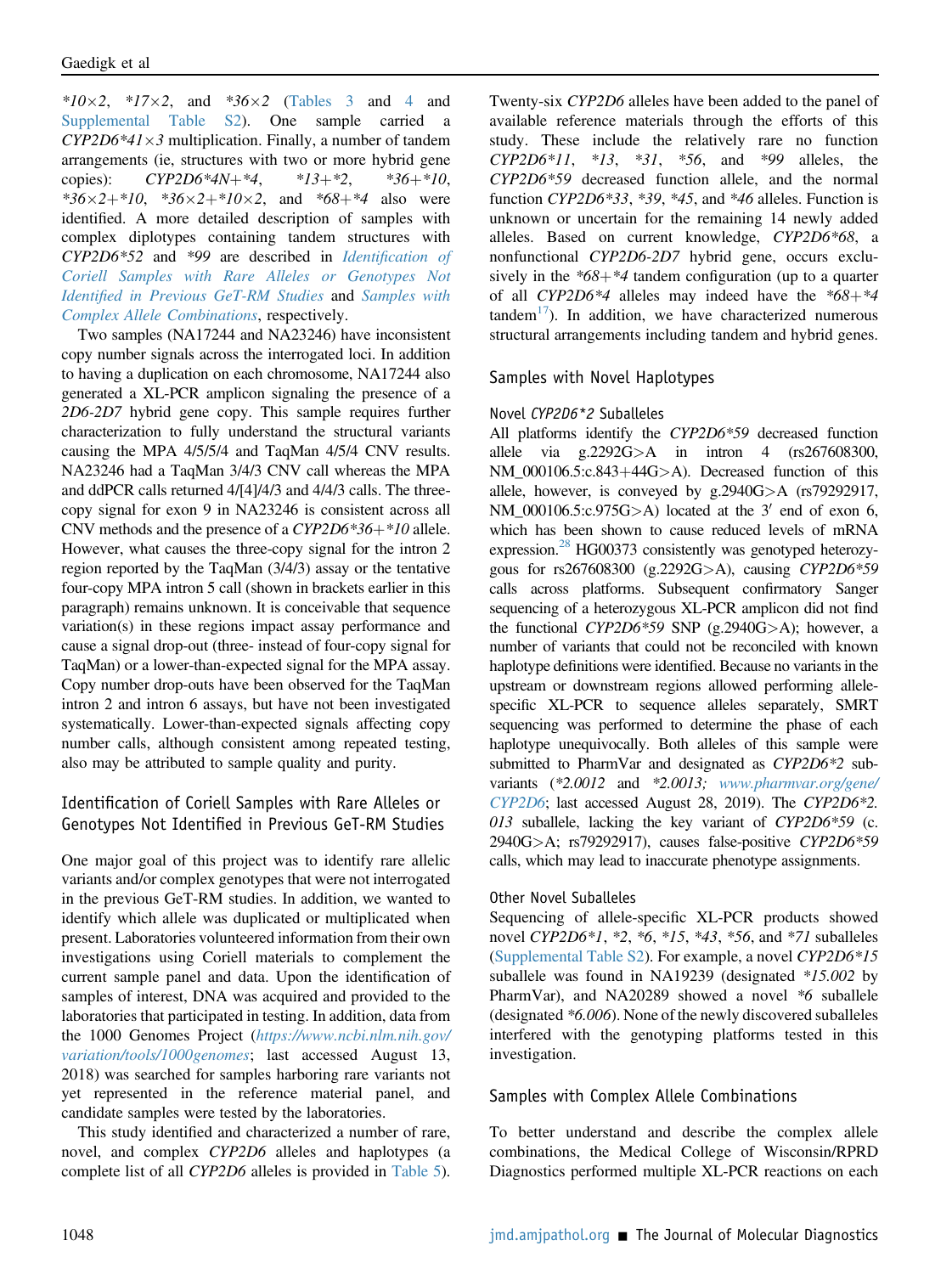\* $10\times2$ , \* $17\times2$ , and \* $36\times2$  ([Tables 3](#page-7-1) and [4](#page-8-0) and [Supplemental Table S2](#page-17-9)). One sample carried a  $CYP2D6*41\times3$  multiplication. Finally, a number of tandem arrangements (ie, structures with two or more hybrid gene copies):  $CYP2D6*4N+4, \t *13+2, \t *36+10,$ \*36×2+\*10, \*36×2+\*10×2, and \*68+\*4 also were identified. A more detailed description of samples with complex diplotypes containing tandem structures with CYP2D6\*52 and \*99 are described in Identifi[cation of](#page-14-0) [Coriell Samples with Rare Alleles or Genotypes Not](#page-14-0) Identifi[ed in Previous GeT-RM Studies](#page-14-0) and [Samples with](#page-14-1) [Complex Allele Combinations](#page-14-1), respectively.

Two samples (NA17244 and NA23246) have inconsistent copy number signals across the interrogated loci. In addition to having a duplication on each chromosome, NA17244 also generated a XL-PCR amplicon signaling the presence of a 2D6-2D7 hybrid gene copy. This sample requires further characterization to fully understand the structural variants causing the MPA 4/5/5/4 and TaqMan 4/5/4 CNV results. NA23246 had a TaqMan 3/4/3 CNV call whereas the MPA and ddPCR calls returned 4/[4]/4/3 and 4/4/3 calls. The threecopy signal for exon 9 in NA23246 is consistent across all CNV methods and the presence of a  $CYP2D6*36+*10$  allele. However, what causes the three-copy signal for the intron 2 region reported by the TaqMan (3/4/3) assay or the tentative four-copy MPA intron 5 call (shown in brackets earlier in this paragraph) remains unknown. It is conceivable that sequence variation(s) in these regions impact assay performance and cause a signal drop-out (three- instead of four-copy signal for TaqMan) or a lower-than-expected signal for the MPA assay. Copy number drop-outs have been observed for the TaqMan intron 2 and intron 6 assays, but have not been investigated systematically. Lower-than-expected signals affecting copy number calls, although consistent among repeated testing, also may be attributed to sample quality and purity.

### <span id="page-14-0"></span>Identification of Coriell Samples with Rare Alleles or Genotypes Not Identified in Previous GeT-RM Studies

One major goal of this project was to identify rare allelic variants and/or complex genotypes that were not interrogated in the previous GeT-RM studies. In addition, we wanted to identify which allele was duplicated or multiplicated when present. Laboratories volunteered information from their own investigations using Coriell materials to complement the current sample panel and data. Upon the identification of samples of interest, DNA was acquired and provided to the laboratories that participated in testing. In addition, data from the 1000 Genomes Project ([https://www.ncbi.nlm.nih.gov/](https://www.ncbi.nlm.nih.gov/variation/tools/1000genomes) [variation/tools/1000genomes](https://www.ncbi.nlm.nih.gov/variation/tools/1000genomes); last accessed August 13, 2018) was searched for samples harboring rare variants not yet represented in the reference material panel, and candidate samples were tested by the laboratories.

This study identified and characterized a number of rare, novel, and complex CYP2D6 alleles and haplotypes (a complete list of all CYP2D6 alleles is provided in [Table 5](#page-9-0)).

Twenty-six CYP2D6 alleles have been added to the panel of available reference materials through the efforts of this study. These include the relatively rare no function  $CYP2D6*11$ ,  $*13$ ,  $*31$ ,  $*56$ , and  $*99$  alleles, the CYP2D6\*59 decreased function allele, and the normal function  $CYP2D6*33$ ,  $*39$ ,  $*45$ , and  $*46$  alleles. Function is unknown or uncertain for the remaining 14 newly added alleles. Based on current knowledge, CYP2D6\*68, a nonfunctional CYP2D6-2D7 hybrid gene, occurs exclusively in the  $*68 + *4$  tandem configuration (up to a quarter of all CYP2D6\*4 alleles may indeed have the  $*68 + *4$  $tandem<sup>17</sup>$  $tandem<sup>17</sup>$  $tandem<sup>17</sup>$ ). In addition, we have characterized numerous structural arrangements including tandem and hybrid genes.

### Samples with Novel Haplotypes

#### Novel CYP2D6\*2 Suballeles

All platforms identify the CYP2D6\*59 decreased function allele via g.2292G>A in intron 4 (rs267608300,  $NM_000106.5:c.843+44G>A$ . Decreased function of this allele, however, is conveyed by g.2940G>A (rs79292917, NM\_000106.5:c.975G>A) located at the  $3'$  end of exon 6, which has been shown to cause reduced levels of mRNA expression.<sup>[28](#page-18-8)</sup> HG00373 consistently was genotyped heterozygous for rs267608300 (g.2292G>A), causing CYP2D6\*59 calls across platforms. Subsequent confirmatory Sanger sequencing of a heterozygous XL-PCR amplicon did not find the functional CYP2D6\*59 SNP (g.2940G>A); however, a number of variants that could not be reconciled with known haplotype definitions were identified. Because no variants in the upstream or downstream regions allowed performing allelespecific XL-PCR to sequence alleles separately, SMRT sequencing was performed to determine the phase of each haplotype unequivocally. Both alleles of this sample were submitted to PharmVar and designated as CYP2D6\*2 subvariants (\*2.0012 and \*2.0013; [www.pharmvar.org/gene/](http://www.pharmvar.org/gene/CYP2D6) [CYP2D6](http://www.pharmvar.org/gene/CYP2D6); last accessed August 28, 2019). The CYP2D6\*2. 013 suballele, lacking the key variant of CYP2D6\*59 (c. 2940G>A; rs79292917), causes false-positive CYP2D6\*59 calls, which may lead to inaccurate phenotype assignments.

#### Other Novel Suballeles

Sequencing of allele-specific XL-PCR products showed novel CYP2D6\*1, \*2, \*6, \*15, \*43, \*56, and \*71 suballeles [\(Supplemental Table S2](#page-17-9)). For example, a novel CYP2D6\*15 suballele was found in NA19239 (designated \*15.002 by PharmVar), and NA20289 showed a novel \*6 suballele (designated \*6.006). None of the newly discovered suballeles interfered with the genotyping platforms tested in this investigation.

#### <span id="page-14-1"></span>Samples with Complex Allele Combinations

To better understand and describe the complex allele combinations, the Medical College of Wisconsin/RPRD Diagnostics performed multiple XL-PCR reactions on each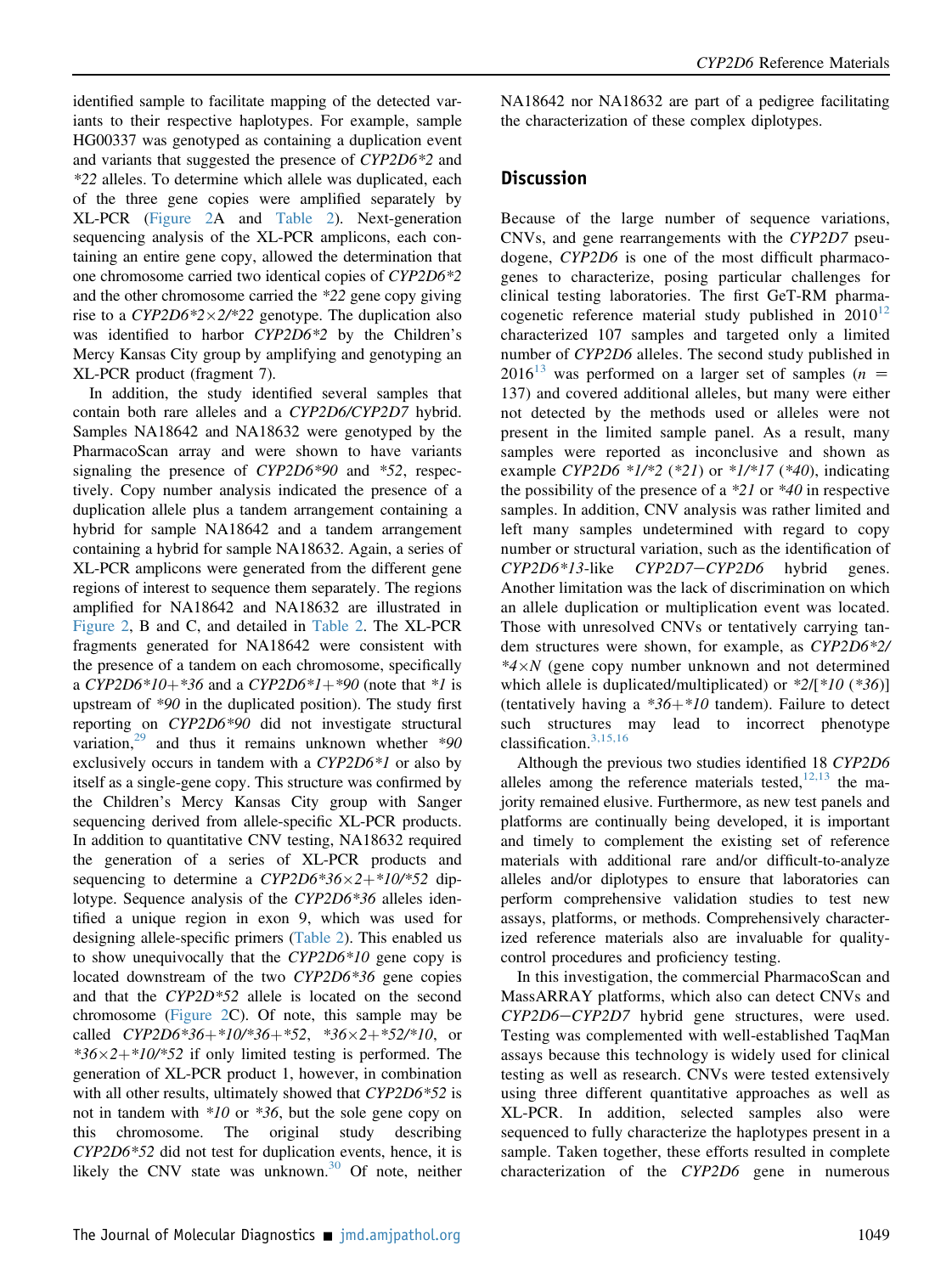identified sample to facilitate mapping of the detected variants to their respective haplotypes. For example, sample HG00337 was genotyped as containing a duplication event and variants that suggested the presence of CYP2D6\*2 and \*22 alleles. To determine which allele was duplicated, each of the three gene copies were amplified separately by XL-PCR ([Figure 2](#page-12-0)A and [Table 2\)](#page-4-0). Next-generation sequencing analysis of the XL-PCR amplicons, each containing an entire gene copy, allowed the determination that one chromosome carried two identical copies of CYP2D6\*2 and the other chromosome carried the \*22 gene copy giving rise to a  $CYP2D6*2\times2/*22$  genotype. The duplication also was identified to harbor CYP2D6\*2 by the Children's Mercy Kansas City group by amplifying and genotyping an XL-PCR product (fragment 7).

In addition, the study identified several samples that contain both rare alleles and a CYP2D6/CYP2D7 hybrid. Samples NA18642 and NA18632 were genotyped by the PharmacoScan array and were shown to have variants signaling the presence of CYP2D6\*90 and \*52, respectively. Copy number analysis indicated the presence of a duplication allele plus a tandem arrangement containing a hybrid for sample NA18642 and a tandem arrangement containing a hybrid for sample NA18632. Again, a series of XL-PCR amplicons were generated from the different gene regions of interest to sequence them separately. The regions amplified for NA18642 and NA18632 are illustrated in [Figure 2](#page-12-0), B and C, and detailed in [Table 2](#page-4-0). The XL-PCR fragments generated for NA18642 were consistent with the presence of a tandem on each chromosome, specifically a CYP2D6\*10+\*36 and a CYP2D6\*1+\*90 (note that \*1 is upstream of \*90 in the duplicated position). The study first reporting on CYP2D6\*90 did not investigate structural variation,  $29$  and thus it remains unknown whether  $*90$ exclusively occurs in tandem with a CYP2D6\*1 or also by itself as a single-gene copy. This structure was confirmed by the Children's Mercy Kansas City group with Sanger sequencing derived from allele-specific XL-PCR products. In addition to quantitative CNV testing, NA18632 required the generation of a series of XL-PCR products and sequencing to determine a  $CYP2D6*36\times2+*10(*52$  diplotype. Sequence analysis of the CYP2D6<sup>\*36</sup> alleles identified a unique region in exon 9, which was used for designing allele-specific primers ([Table 2](#page-4-0)). This enabled us to show unequivocally that the CYP2D6\*10 gene copy is located downstream of the two CYP2D6\*36 gene copies and that the CYP2D\*52 allele is located on the second chromosome ([Figure 2C](#page-12-0)). Of note, this sample may be called  $CYP2D6*36+*10(*36+*52, *36\times2+*52'*10, or$  $*36\times2+10'*52$  if only limited testing is performed. The generation of XL-PCR product 1, however, in combination with all other results, ultimately showed that CYP2D6\*52 is not in tandem with  $*10$  or  $*36$ , but the sole gene copy on this chromosome. The original study describing CYP2D6\*52 did not test for duplication events, hence, it is likely the CNV state was unknown.<sup>[30](#page-18-10)</sup> Of note, neither

NA18642 nor NA18632 are part of a pedigree facilitating the characterization of these complex diplotypes.

#### **Discussion**

Because of the large number of sequence variations, CNVs, and gene rearrangements with the CYP2D7 pseudogene, CYP2D6 is one of the most difficult pharmacogenes to characterize, posing particular challenges for clinical testing laboratories. The first GeT-RM pharmacogenetic reference material study published in  $2010^{12}$  $2010^{12}$  $2010^{12}$ characterized 107 samples and targeted only a limited number of CYP2D6 alleles. The second study published in  $2016^{13}$  $2016^{13}$  $2016^{13}$  was performed on a larger set of samples ( $n =$ 137) and covered additional alleles, but many were either not detected by the methods used or alleles were not present in the limited sample panel. As a result, many samples were reported as inconclusive and shown as example CYP2D6  $*1/*2$  ( $*21$ ) or  $*1/*17$  ( $*40$ ), indicating the possibility of the presence of a  $*21$  or  $*40$  in respective samples. In addition, CNV analysis was rather limited and left many samples undetermined with regard to copy number or structural variation, such as the identification of  $CYP2D6*13$ -like  $CYP2D7-CYP2D6$  hybrid genes. Another limitation was the lack of discrimination on which an allele duplication or multiplication event was located. Those with unresolved CNVs or tentatively carrying tandem structures were shown, for example, as CYP2D6\*2/  $*4\times N$  (gene copy number unknown and not determined which allele is duplicated/multiplicated) or  $*2/[*10(*36)]$ (tentatively having a  $*36 + *10$  tandem). Failure to detect such structures may lead to incorrect phenotype classification.[3,15,16](#page-17-1)

Although the previous two studies identified 18 CYP2D6 alleles among the reference materials tested, $12,13$  the majority remained elusive. Furthermore, as new test panels and platforms are continually being developed, it is important and timely to complement the existing set of reference materials with additional rare and/or difficult-to-analyze alleles and/or diplotypes to ensure that laboratories can perform comprehensive validation studies to test new assays, platforms, or methods. Comprehensively characterized reference materials also are invaluable for qualitycontrol procedures and proficiency testing.

In this investigation, the commercial PharmacoScan and MassARRAY platforms, which also can detect CNVs and  $CYP2D6-CYP2D7$  hybrid gene structures, were used. Testing was complemented with well-established TaqMan assays because this technology is widely used for clinical testing as well as research. CNVs were tested extensively using three different quantitative approaches as well as XL-PCR. In addition, selected samples also were sequenced to fully characterize the haplotypes present in a sample. Taken together, these efforts resulted in complete characterization of the CYP2D6 gene in numerous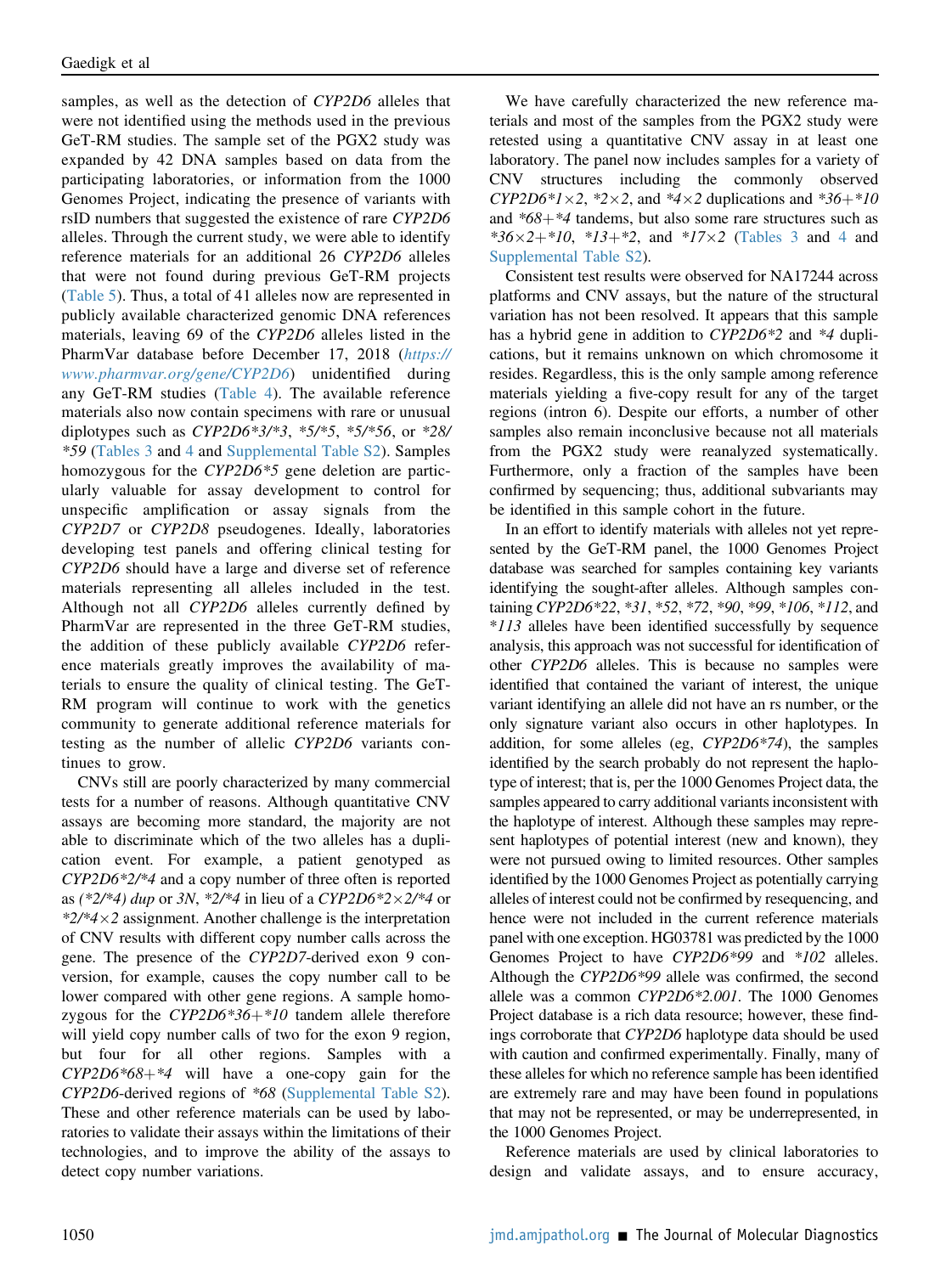samples, as well as the detection of CYP2D6 alleles that were not identified using the methods used in the previous GeT-RM studies. The sample set of the PGX2 study was expanded by 42 DNA samples based on data from the participating laboratories, or information from the 1000 Genomes Project, indicating the presence of variants with rsID numbers that suggested the existence of rare CYP2D6 alleles. Through the current study, we were able to identify reference materials for an additional 26 CYP2D6 alleles that were not found during previous GeT-RM projects [\(Table 5\)](#page-9-0). Thus, a total of 41 alleles now are represented in publicly available characterized genomic DNA references materials, leaving 69 of the CYP2D6 alleles listed in the PharmVar database before December 17, 2018 ([https://](https://www.pharmvar.org/gene/CYP2D6) [www.pharmvar.org/gene/CYP2D6](https://www.pharmvar.org/gene/CYP2D6)) unidentified during any GeT-RM studies ([Table 4\)](#page-8-0). The available reference materials also now contain specimens with rare or unusual diplotypes such as  $CYP2D6*3/*3$ ,  $*5/*5$ ,  $*5/*56$ , or  $*28/$ \*59 [\(Tables 3](#page-7-1) and [4](#page-8-0) and [Supplemental Table S2](#page-17-9)). Samples homozygous for the CYP2D6<sup>\*5</sup> gene deletion are particularly valuable for assay development to control for unspecific amplification or assay signals from the CYP2D7 or CYP2D8 pseudogenes. Ideally, laboratories developing test panels and offering clinical testing for CYP2D6 should have a large and diverse set of reference materials representing all alleles included in the test. Although not all CYP2D6 alleles currently defined by PharmVar are represented in the three GeT-RM studies, the addition of these publicly available CYP2D6 reference materials greatly improves the availability of materials to ensure the quality of clinical testing. The GeT-RM program will continue to work with the genetics community to generate additional reference materials for testing as the number of allelic CYP2D6 variants continues to grow.

CNVs still are poorly characterized by many commercial tests for a number of reasons. Although quantitative CNV assays are becoming more standard, the majority are not able to discriminate which of the two alleles has a duplication event. For example, a patient genotyped as CYP2D6\*2/\*4 and a copy number of three often is reported as (\*2/\*4) dup or 3N, \*2/\*4 in lieu of a CYP2D6\*2×2/\*4 or  $*2/*4 \times 2$  assignment. Another challenge is the interpretation of CNV results with different copy number calls across the gene. The presence of the CYP2D7-derived exon 9 conversion, for example, causes the copy number call to be lower compared with other gene regions. A sample homozygous for the  $CYP2D6*36+*10$  tandem allele therefore will yield copy number calls of two for the exon 9 region, but four for all other regions. Samples with a  $CYP2D6*68+*4$  will have a one-copy gain for the CYP2D6-derived regions of \*68 [\(Supplemental Table S2](#page-17-9)). These and other reference materials can be used by laboratories to validate their assays within the limitations of their technologies, and to improve the ability of the assays to detect copy number variations.

We have carefully characterized the new reference materials and most of the samples from the PGX2 study were retested using a quantitative CNV assay in at least one laboratory. The panel now includes samples for a variety of CNV structures including the commonly observed  $CYP2D6*1\times2$ , \*2 $\times2$ , and \*4 $\times2$  duplications and \*36+\*10 and  $*68 + *4$  tandems, but also some rare structures such as  $*36 \times 2+10$ ,  $*13+2$ , and  $*17 \times 2$  ([Tables 3](#page-7-1) and [4](#page-8-0) and [Supplemental Table S2\)](#page-17-9).

Consistent test results were observed for NA17244 across platforms and CNV assays, but the nature of the structural variation has not been resolved. It appears that this sample has a hybrid gene in addition to CYP2D6\*2 and \*4 duplications, but it remains unknown on which chromosome it resides. Regardless, this is the only sample among reference materials yielding a five-copy result for any of the target regions (intron 6). Despite our efforts, a number of other samples also remain inconclusive because not all materials from the PGX2 study were reanalyzed systematically. Furthermore, only a fraction of the samples have been confirmed by sequencing; thus, additional subvariants may be identified in this sample cohort in the future.

In an effort to identify materials with alleles not yet represented by the GeT-RM panel, the 1000 Genomes Project database was searched for samples containing key variants identifying the sought-after alleles. Although samples containing CYP2D6\*22, \*31, \*52, \*72, \*90, \*99, \*106, \*112, and \*113 alleles have been identified successfully by sequence analysis, this approach was not successful for identification of other CYP2D6 alleles. This is because no samples were identified that contained the variant of interest, the unique variant identifying an allele did not have an rs number, or the only signature variant also occurs in other haplotypes. In addition, for some alleles (eg, CYP2D6\*74), the samples identified by the search probably do not represent the haplotype of interest; that is, per the 1000 Genomes Project data, the samples appeared to carry additional variants inconsistent with the haplotype of interest. Although these samples may represent haplotypes of potential interest (new and known), they were not pursued owing to limited resources. Other samples identified by the 1000 Genomes Project as potentially carrying alleles of interest could not be confirmed by resequencing, and hence were not included in the current reference materials panel with one exception. HG03781 was predicted by the 1000 Genomes Project to have CYP2D6\*99 and \*102 alleles. Although the CYP2D6\*99 allele was confirmed, the second allele was a common CYP2D6\*2.001. The 1000 Genomes Project database is a rich data resource; however, these findings corroborate that CYP2D6 haplotype data should be used with caution and confirmed experimentally. Finally, many of these alleles for which no reference sample has been identified are extremely rare and may have been found in populations that may not be represented, or may be underrepresented, in the 1000 Genomes Project.

Reference materials are used by clinical laboratories to design and validate assays, and to ensure accuracy,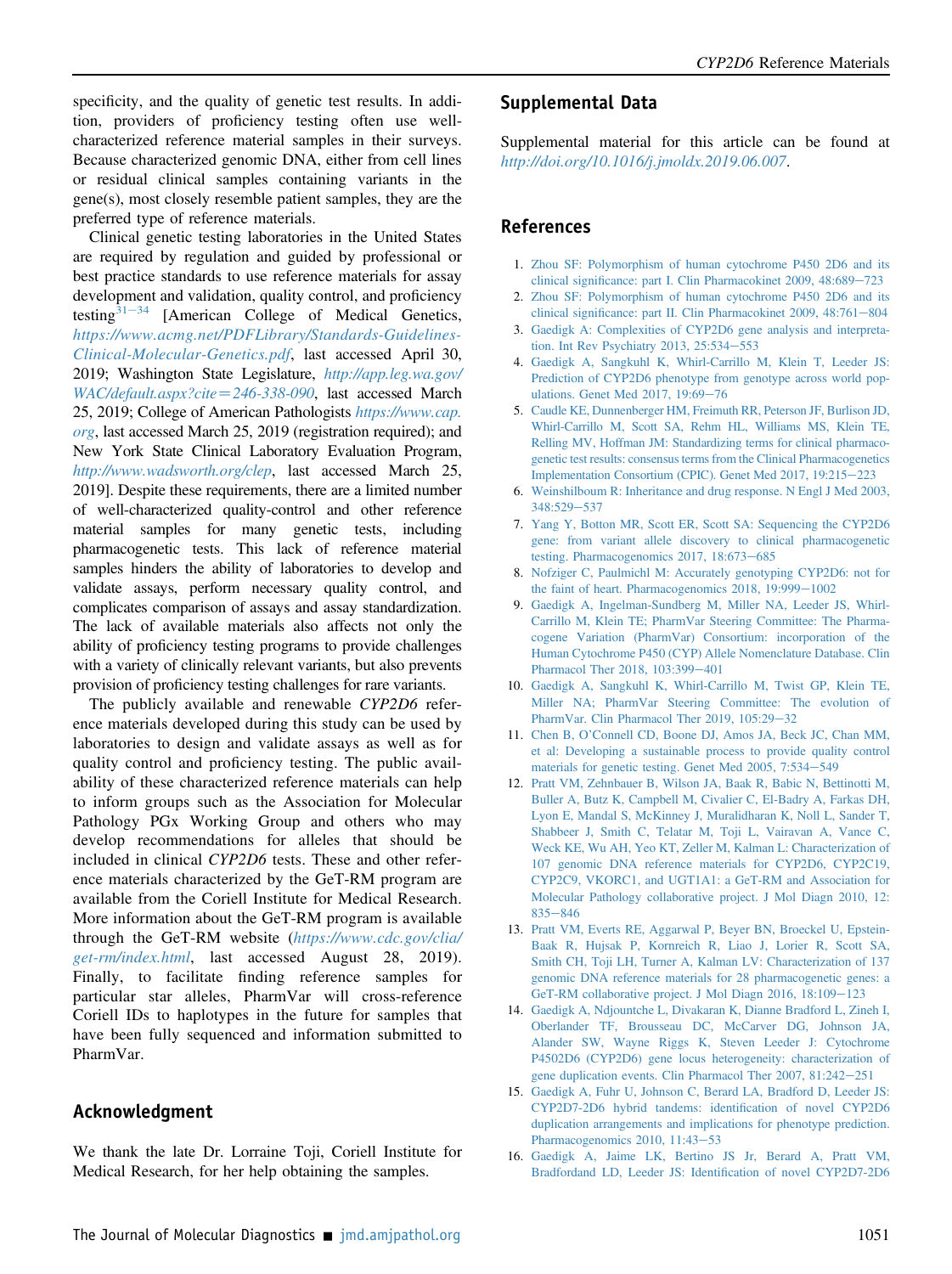specificity, and the quality of genetic test results. In addition, providers of proficiency testing often use wellcharacterized reference material samples in their surveys. Because characterized genomic DNA, either from cell lines or residual clinical samples containing variants in the gene(s), most closely resemble patient samples, they are the preferred type of reference materials.

Clinical genetic testing laboratories in the United States are required by regulation and guided by professional or best practice standards to use reference materials for assay development and validation, quality control, and proficiency testing $31-34$  $31-34$  $31-34$  [American College of Medical Genetics, [https://www.acmg.net/PDFLibrary/Standards-Guidelines-](https://www.acmg.net/PDFLibrary/Standards-Guidelines-Clinical-Molecular-Genetics.pdf)[Clinical-Molecular-Genetics.pdf](https://www.acmg.net/PDFLibrary/Standards-Guidelines-Clinical-Molecular-Genetics.pdf), last accessed April 30, 2019; Washington State Legislature, [http://app.leg.wa.gov/](http://app.leg.wa.gov/WAC/default.aspx?cite=246-338-090)  $WAC/default, as px?cite = 246-338-090$ , last accessed March 25, 2019; College of American Pathologists [https://www.cap.](https://www.cap.org) [org](https://www.cap.org), last accessed March 25, 2019 (registration required); and New York State Clinical Laboratory Evaluation Program, <http://www.wadsworth.org/clep>, last accessed March 25, 2019]. Despite these requirements, there are a limited number of well-characterized quality-control and other reference material samples for many genetic tests, including pharmacogenetic tests. This lack of reference material samples hinders the ability of laboratories to develop and validate assays, perform necessary quality control, and complicates comparison of assays and assay standardization. The lack of available materials also affects not only the ability of proficiency testing programs to provide challenges with a variety of clinically relevant variants, but also prevents provision of proficiency testing challenges for rare variants.

The publicly available and renewable CYP2D6 reference materials developed during this study can be used by laboratories to design and validate assays as well as for quality control and proficiency testing. The public availability of these characterized reference materials can help to inform groups such as the Association for Molecular Pathology PGx Working Group and others who may develop recommendations for alleles that should be included in clinical CYP2D6 tests. These and other reference materials characterized by the GeT-RM program are available from the Coriell Institute for Medical Research. More information about the GeT-RM program is available through the GeT-RM website ([https://www.cdc.gov/clia/](https://www.cdc.gov/clia/get-rm/index.html) [get-rm/index.html](https://www.cdc.gov/clia/get-rm/index.html), last accessed August 28, 2019). Finally, to facilitate finding reference samples for particular star alleles, PharmVar will cross-reference Coriell IDs to haplotypes in the future for samples that have been fully sequenced and information submitted to PharmVar.

# Acknowledgment

<span id="page-17-9"></span>We thank the late Dr. Lorraine Toji, Coriell Institute for Medical Research, for her help obtaining the samples.

# Supplemental Data

Supplemental material for this article can be found at <http://doi.org/10.1016/j.jmoldx.2019.06.007>.

## <span id="page-17-0"></span>References

- 1. [Zhou SF: Polymorphism of human cytochrome P450 2D6 and its](http://refhub.elsevier.com/S1525-1578(19)30350-2/sref1) clinical signifi[cance: part I. Clin Pharmacokinet 2009, 48:689](http://refhub.elsevier.com/S1525-1578(19)30350-2/sref1)-[723](http://refhub.elsevier.com/S1525-1578(19)30350-2/sref1)
- <span id="page-17-1"></span>2. [Zhou SF: Polymorphism of human cytochrome P450 2D6 and its](http://refhub.elsevier.com/S1525-1578(19)30350-2/sref2) clinical signifi[cance: part II. Clin Pharmacokinet 2009, 48:761](http://refhub.elsevier.com/S1525-1578(19)30350-2/sref2)-[804](http://refhub.elsevier.com/S1525-1578(19)30350-2/sref2)
- <span id="page-17-2"></span>3. [Gaedigk A: Complexities of CYP2D6 gene analysis and interpreta](http://refhub.elsevier.com/S1525-1578(19)30350-2/sref3)tion. Int Rev Psychiatry 2013,  $25:534-553$  $25:534-553$
- <span id="page-17-3"></span>4. [Gaedigk A, Sangkuhl K, Whirl-Carrillo M, Klein T, Leeder JS:](http://refhub.elsevier.com/S1525-1578(19)30350-2/sref4) [Prediction of CYP2D6 phenotype from genotype across world pop](http://refhub.elsevier.com/S1525-1578(19)30350-2/sref4)[ulations. Genet Med 2017, 19:69](http://refhub.elsevier.com/S1525-1578(19)30350-2/sref4)-[76](http://refhub.elsevier.com/S1525-1578(19)30350-2/sref4)
- 5. [Caudle KE, Dunnenberger HM, Freimuth RR, Peterson JF, Burlison JD,](http://refhub.elsevier.com/S1525-1578(19)30350-2/sref5) [Whirl-Carrillo M, Scott SA, Rehm HL, Williams MS, Klein TE,](http://refhub.elsevier.com/S1525-1578(19)30350-2/sref5) [Relling MV, Hoffman JM: Standardizing terms for clinical pharmaco](http://refhub.elsevier.com/S1525-1578(19)30350-2/sref5)[genetic test results: consensus terms from the Clinical Pharmacogenetics](http://refhub.elsevier.com/S1525-1578(19)30350-2/sref5) [Implementation Consortium \(CPIC\). Genet Med 2017, 19:215](http://refhub.elsevier.com/S1525-1578(19)30350-2/sref5)-[223](http://refhub.elsevier.com/S1525-1578(19)30350-2/sref5)
- <span id="page-17-4"></span>6. [Weinshilboum R: Inheritance and drug response. N Engl J Med 2003,](http://refhub.elsevier.com/S1525-1578(19)30350-2/sref6) [348:529](http://refhub.elsevier.com/S1525-1578(19)30350-2/sref6)-[537](http://refhub.elsevier.com/S1525-1578(19)30350-2/sref6)
- 7. [Yang Y, Botton MR, Scott ER, Scott SA: Sequencing the CYP2D6](http://refhub.elsevier.com/S1525-1578(19)30350-2/sref7) [gene: from variant allele discovery to clinical pharmacogenetic](http://refhub.elsevier.com/S1525-1578(19)30350-2/sref7) [testing. Pharmacogenomics 2017, 18:673](http://refhub.elsevier.com/S1525-1578(19)30350-2/sref7)-[685](http://refhub.elsevier.com/S1525-1578(19)30350-2/sref7)
- <span id="page-17-5"></span>8. [Nofziger C, Paulmichl M: Accurately genotyping CYP2D6: not for](http://refhub.elsevier.com/S1525-1578(19)30350-2/sref8) [the faint of heart. Pharmacogenomics 2018, 19:999](http://refhub.elsevier.com/S1525-1578(19)30350-2/sref8)-[1002](http://refhub.elsevier.com/S1525-1578(19)30350-2/sref8)
- 9. [Gaedigk A, Ingelman-Sundberg M, Miller NA, Leeder JS, Whirl-](http://refhub.elsevier.com/S1525-1578(19)30350-2/sref9)[Carrillo M, Klein TE; PharmVar Steering Committee: The Pharma](http://refhub.elsevier.com/S1525-1578(19)30350-2/sref9)[cogene Variation \(PharmVar\) Consortium: incorporation of the](http://refhub.elsevier.com/S1525-1578(19)30350-2/sref9) [Human Cytochrome P450 \(CYP\) Allele Nomenclature Database. Clin](http://refhub.elsevier.com/S1525-1578(19)30350-2/sref9) [Pharmacol Ther 2018, 103:399](http://refhub.elsevier.com/S1525-1578(19)30350-2/sref9)-[401](http://refhub.elsevier.com/S1525-1578(19)30350-2/sref9)
- <span id="page-17-6"></span>10. [Gaedigk A, Sangkuhl K, Whirl-Carrillo M, Twist GP, Klein TE,](http://refhub.elsevier.com/S1525-1578(19)30350-2/sref10) [Miller NA; PharmVar Steering Committee: The evolution of](http://refhub.elsevier.com/S1525-1578(19)30350-2/sref10) [PharmVar. Clin Pharmacol Ther 2019, 105:29](http://refhub.elsevier.com/S1525-1578(19)30350-2/sref10)-[32](http://refhub.elsevier.com/S1525-1578(19)30350-2/sref10)
- <span id="page-17-7"></span>11. Chen B, O'[Connell CD, Boone DJ, Amos JA, Beck JC, Chan MM,](http://refhub.elsevier.com/S1525-1578(19)30350-2/sref11) [et al: Developing a sustainable process to provide quality control](http://refhub.elsevier.com/S1525-1578(19)30350-2/sref11) [materials for genetic testing. Genet Med 2005, 7:534](http://refhub.elsevier.com/S1525-1578(19)30350-2/sref11)-[549](http://refhub.elsevier.com/S1525-1578(19)30350-2/sref11)
- 12. [Pratt VM, Zehnbauer B, Wilson JA, Baak R, Babic N, Bettinotti M,](http://refhub.elsevier.com/S1525-1578(19)30350-2/sref12) [Buller A, Butz K, Campbell M, Civalier C, El-Badry A, Farkas DH,](http://refhub.elsevier.com/S1525-1578(19)30350-2/sref12) [Lyon E, Mandal S, McKinney J, Muralidharan K, Noll L, Sander T,](http://refhub.elsevier.com/S1525-1578(19)30350-2/sref12) [Shabbeer J, Smith C, Telatar M, Toji L, Vairavan A, Vance C,](http://refhub.elsevier.com/S1525-1578(19)30350-2/sref12) [Weck KE, Wu AH, Yeo KT, Zeller M, Kalman L: Characterization of](http://refhub.elsevier.com/S1525-1578(19)30350-2/sref12) [107 genomic DNA reference materials for CYP2D6, CYP2C19,](http://refhub.elsevier.com/S1525-1578(19)30350-2/sref12) [CYP2C9, VKORC1, and UGT1A1: a GeT-RM and Association for](http://refhub.elsevier.com/S1525-1578(19)30350-2/sref12) [Molecular Pathology collaborative project. J Mol Diagn 2010, 12:](http://refhub.elsevier.com/S1525-1578(19)30350-2/sref12)  $835 - 846$  $835 - 846$  $835 - 846$
- <span id="page-17-8"></span>13. [Pratt VM, Everts RE, Aggarwal P, Beyer BN, Broeckel U, Epstein-](http://refhub.elsevier.com/S1525-1578(19)30350-2/sref13)[Baak R, Hujsak P, Kornreich R, Liao J, Lorier R, Scott SA,](http://refhub.elsevier.com/S1525-1578(19)30350-2/sref13) [Smith CH, Toji LH, Turner A, Kalman LV: Characterization of 137](http://refhub.elsevier.com/S1525-1578(19)30350-2/sref13) [genomic DNA reference materials for 28 pharmacogenetic genes: a](http://refhub.elsevier.com/S1525-1578(19)30350-2/sref13) [GeT-RM collaborative project. J Mol Diagn 2016, 18:109](http://refhub.elsevier.com/S1525-1578(19)30350-2/sref13)-[123](http://refhub.elsevier.com/S1525-1578(19)30350-2/sref13)
- <span id="page-17-10"></span>14. [Gaedigk A, Ndjountche L, Divakaran K, Dianne Bradford L, Zineh I,](http://refhub.elsevier.com/S1525-1578(19)30350-2/sref14) [Oberlander TF, Brousseau DC, McCarver DG, Johnson JA,](http://refhub.elsevier.com/S1525-1578(19)30350-2/sref14) [Alander SW, Wayne Riggs K, Steven Leeder J: Cytochrome](http://refhub.elsevier.com/S1525-1578(19)30350-2/sref14) [P4502D6 \(CYP2D6\) gene locus heterogeneity: characterization of](http://refhub.elsevier.com/S1525-1578(19)30350-2/sref14) [gene duplication events. Clin Pharmacol Ther 2007, 81:242](http://refhub.elsevier.com/S1525-1578(19)30350-2/sref14)-[251](http://refhub.elsevier.com/S1525-1578(19)30350-2/sref14)
- 15. [Gaedigk A, Fuhr U, Johnson C, Berard LA, Bradford D, Leeder JS:](http://refhub.elsevier.com/S1525-1578(19)30350-2/sref15) [CYP2D7-2D6 hybrid tandems: identi](http://refhub.elsevier.com/S1525-1578(19)30350-2/sref15)fication of novel CYP2D6 [duplication arrangements and implications for phenotype prediction.](http://refhub.elsevier.com/S1525-1578(19)30350-2/sref15) [Pharmacogenomics 2010, 11:43](http://refhub.elsevier.com/S1525-1578(19)30350-2/sref15)-[53](http://refhub.elsevier.com/S1525-1578(19)30350-2/sref15)
- 16. [Gaedigk A, Jaime LK, Bertino JS Jr, Berard A, Pratt VM,](http://refhub.elsevier.com/S1525-1578(19)30350-2/sref16) [Bradfordand LD, Leeder JS: Identi](http://refhub.elsevier.com/S1525-1578(19)30350-2/sref16)fication of novel CYP2D7-2D6